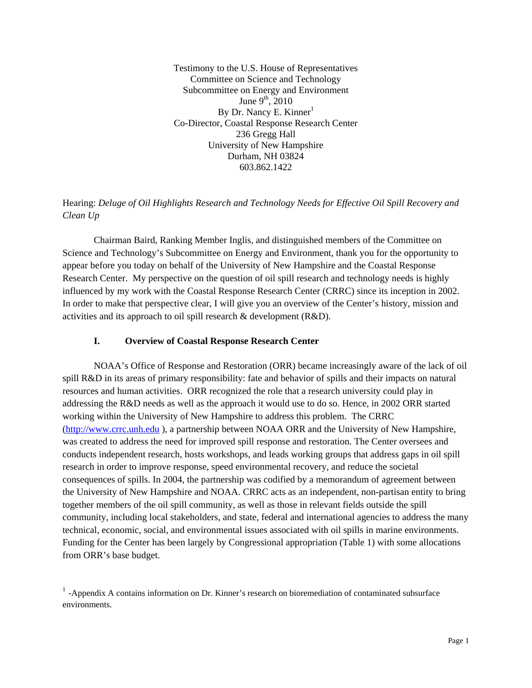Testimony to the U.S. House of Representatives Committee on Science and Technology Subcommittee on Energy and Environment June  $9<sup>th</sup>$ , 2010 By Dr. Nancy E. Kinner<sup>1</sup> Co-Director, Coastal Response Research Center 236 Gregg Hall University of New Hampshire Durham, NH 03824 603.862.1422

## Hearing: *Deluge of Oil Highlights Research and Technology Needs for Effective Oil Spill Recovery and Clean Up*

Chairman Baird, Ranking Member Inglis, and distinguished members of the Committee on Science and Technology's Subcommittee on Energy and Environment, thank you for the opportunity to appear before you today on behalf of the University of New Hampshire and the Coastal Response Research Center. My perspective on the question of oil spill research and technology needs is highly influenced by my work with the Coastal Response Research Center (CRRC) since its inception in 2002. In order to make that perspective clear, I will give you an overview of the Center's history, mission and activities and its approach to oil spill research & development (R&D).

#### **I. Overview of Coastal Response Research Center**

NOAA's Office of Response and Restoration (ORR) became increasingly aware of the lack of oil spill R&D in its areas of primary responsibility: fate and behavior of spills and their impacts on natural resources and human activities. ORR recognized the role that a research university could play in addressing the R&D needs as well as the approach it would use to do so. Hence, in 2002 ORR started working within the University of New Hampshire to address this problem. The CRRC (http://www.crrc.unh.edu ), a partnership between NOAA ORR and the University of New Hampshire, was created to address the need for improved spill response and restoration. The Center oversees and conducts independent research, hosts workshops, and leads working groups that address gaps in oil spill research in order to improve response, speed environmental recovery, and reduce the societal consequences of spills. In 2004, the partnership was codified by a memorandum of agreement between the University of New Hampshire and NOAA. CRRC acts as an independent, non-partisan entity to bring together members of the oil spill community, as well as those in relevant fields outside the spill community, including local stakeholders, and state, federal and international agencies to address the many technical, economic, social, and environmental issues associated with oil spills in marine environments. Funding for the Center has been largely by Congressional appropriation (Table 1) with some allocations from ORR's base budget.

 $<sup>1</sup>$  -Appendix A contains information on Dr. Kinner's research on bioremediation of contaminated subsurface</sup> environments.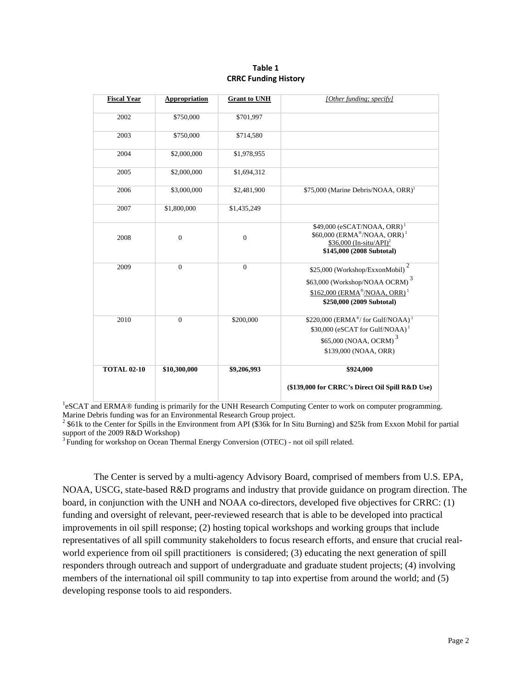#### **Table 1 CRRC Funding History**

| <b>Fiscal Year</b> | <b>Appropriation</b> | <b>Grant to UNH</b> | [Other funding; specify]                                                                                                                                                         |
|--------------------|----------------------|---------------------|----------------------------------------------------------------------------------------------------------------------------------------------------------------------------------|
| 2002               | \$750,000            | \$701,997           |                                                                                                                                                                                  |
| 2003               | \$750,000            | \$714,580           |                                                                                                                                                                                  |
| 2004               | \$2,000,000          | \$1,978,955         |                                                                                                                                                                                  |
| 2005               | \$2,000,000          | \$1,694,312         |                                                                                                                                                                                  |
| 2006               | \$3,000,000          | \$2,481,900         | \$75,000 (Marine Debris/NOAA, ORR) <sup>1</sup>                                                                                                                                  |
| 2007               | \$1,800,000          | \$1,435,249         |                                                                                                                                                                                  |
| 2008               | $\overline{0}$       | $\boldsymbol{0}$    | \$49,000 (eSCAT/NOAA, ORR) <sup>1</sup><br>\$60,000 (ERMA®/NOAA, ORR) <sup>1</sup><br>$$36,000 (In-situ/API)^2$$<br>\$145,000 (2008 Subtotal)                                    |
| 2009               | $\overline{0}$       | $\overline{0}$      | $\overline{2}$<br>\$25,000 (Workshop/ExxonMobil)<br>$\$63,\!000$ (Workshop/NOAA OCRM) $^3$<br>\$162,000 (ERMA <sup>®</sup> /NOAA, ORR) <sup>1</sup><br>\$250,000 (2009 Subtotal) |
| 2010               | $\overline{0}$       | \$200,000           | $$220,000$ (ERMA <sup>®</sup> / for Gulf/NOAA) <sup>1</sup><br>\$30,000 (eSCAT for Gulf/NOAA) <sup>1</sup><br>\$65,000 (NOAA, OCRM) <sup>3</sup><br>\$139,000 (NOAA, ORR)        |
| <b>TOTAL 02-10</b> | \$10,300,000         | \$9,206,993         | \$924,000<br>(\$139,000 for CRRC's Direct Oil Spill R&D Use)                                                                                                                     |

<sup>1</sup>eSCAT and ERMA® funding is primarily for the UNH Research Computing Center to work on computer programming. Marine Debris funding was for an Environmental Research Group project. 2

 $2$  \$61k to the Center for Spills in the Environment from API (\$36k for In Situ Burning) and \$25k from Exxon Mobil for partial support of the 2009 R&D Workshop)

<sup>3</sup> Funding for workshop on Ocean Thermal Energy Conversion (OTEC) - not oil spill related.

The Center is served by a multi-agency Advisory Board, comprised of members from U.S. EPA, NOAA, USCG, state-based R&D programs and industry that provide guidance on program direction. The board, in conjunction with the UNH and NOAA co-directors, developed five objectives for CRRC: (1) funding and oversight of relevant, peer-reviewed research that is able to be developed into practical improvements in oil spill response; (2) hosting topical workshops and working groups that include representatives of all spill community stakeholders to focus research efforts, and ensure that crucial realworld experience from oil spill practitioners is considered; (3) educating the next generation of spill responders through outreach and support of undergraduate and graduate student projects; (4) involving members of the international oil spill community to tap into expertise from around the world; and (5) developing response tools to aid responders.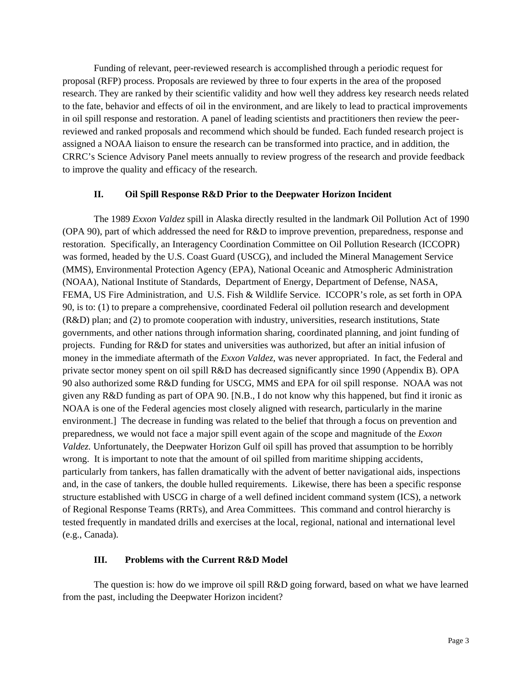Funding of relevant, peer-reviewed research is accomplished through a periodic request for proposal (RFP) process. Proposals are reviewed by three to four experts in the area of the proposed research. They are ranked by their scientific validity and how well they address key research needs related to the fate, behavior and effects of oil in the environment, and are likely to lead to practical improvements in oil spill response and restoration. A panel of leading scientists and practitioners then review the peerreviewed and ranked proposals and recommend which should be funded. Each funded research project is assigned a NOAA liaison to ensure the research can be transformed into practice, and in addition, the CRRC's Science Advisory Panel meets annually to review progress of the research and provide feedback to improve the quality and efficacy of the research.

#### **II. Oil Spill Response R&D Prior to the Deepwater Horizon Incident**

The 1989 *Exxon Valdez* spill in Alaska directly resulted in the landmark Oil Pollution Act of 1990 (OPA 90), part of which addressed the need for R&D to improve prevention, preparedness, response and restoration. Specifically, an Interagency Coordination Committee on Oil Pollution Research (ICCOPR) was formed, headed by the U.S. Coast Guard (USCG), and included the Mineral Management Service (MMS), Environmental Protection Agency (EPA), National Oceanic and Atmospheric Administration (NOAA), National Institute of Standards, Department of Energy, Department of Defense, NASA, FEMA, US Fire Administration, and U.S. Fish & Wildlife Service. ICCOPR's role, as set forth in OPA 90, is to: (1) to prepare a comprehensive, coordinated Federal oil pollution research and development (R&D) plan; and (2) to promote cooperation with industry, universities, research institutions, State governments, and other nations through information sharing, coordinated planning, and joint funding of projects. Funding for R&D for states and universities was authorized, but after an initial infusion of money in the immediate aftermath of the *Exxon Valdez*, was never appropriated. In fact, the Federal and private sector money spent on oil spill R&D has decreased significantly since 1990 (Appendix B). OPA 90 also authorized some R&D funding for USCG, MMS and EPA for oil spill response. NOAA was not given any R&D funding as part of OPA 90. [N.B., I do not know why this happened, but find it ironic as NOAA is one of the Federal agencies most closely aligned with research, particularly in the marine environment.] The decrease in funding was related to the belief that through a focus on prevention and preparedness, we would not face a major spill event again of the scope and magnitude of the *Exxon Valdez.* Unfortunately, the Deepwater Horizon Gulf oil spill has proved that assumption to be horribly wrong. It is important to note that the amount of oil spilled from maritime shipping accidents, particularly from tankers, has fallen dramatically with the advent of better navigational aids, inspections and, in the case of tankers, the double hulled requirements. Likewise, there has been a specific response structure established with USCG in charge of a well defined incident command system (ICS), a network of Regional Response Teams (RRTs), and Area Committees. This command and control hierarchy is tested frequently in mandated drills and exercises at the local, regional, national and international level (e.g., Canada).

#### **III. Problems with the Current R&D Model**

The question is: how do we improve oil spill R&D going forward, based on what we have learned from the past, including the Deepwater Horizon incident?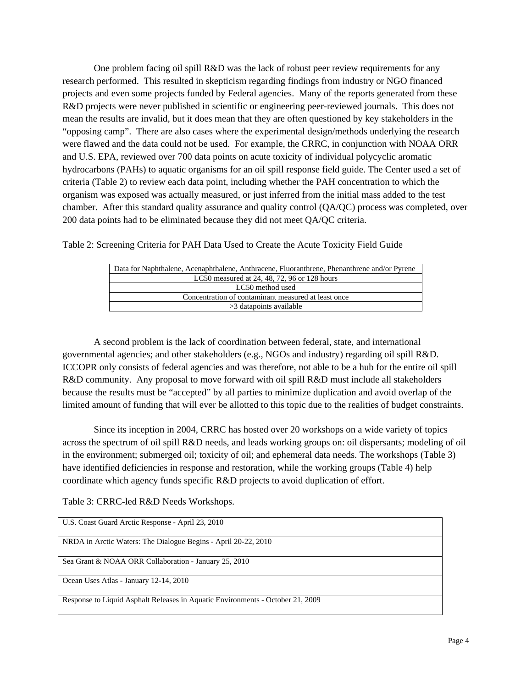One problem facing oil spill R&D was the lack of robust peer review requirements for any research performed. This resulted in skepticism regarding findings from industry or NGO financed projects and even some projects funded by Federal agencies. Many of the reports generated from these R&D projects were never published in scientific or engineering peer-reviewed journals. This does not mean the results are invalid, but it does mean that they are often questioned by key stakeholders in the "opposing camp". There are also cases where the experimental design/methods underlying the research were flawed and the data could not be used. For example, the CRRC, in conjunction with NOAA ORR and U.S. EPA, reviewed over 700 data points on acute toxicity of individual polycyclic aromatic hydrocarbons (PAHs) to aquatic organisms for an oil spill response field guide. The Center used a set of criteria (Table 2) to review each data point, including whether the PAH concentration to which the organism was exposed was actually measured, or just inferred from the initial mass added to the test chamber. After this standard quality assurance and quality control (QA/QC) process was completed, over 200 data points had to be eliminated because they did not meet QA/QC criteria.

Table 2: Screening Criteria for PAH Data Used to Create the Acute Toxicity Field Guide

| Data for Naphthalene, Acenaphthalene, Anthracene, Fluoranthrene, Phenanthrene and/or Pyrene |  |  |  |  |  |  |  |
|---------------------------------------------------------------------------------------------|--|--|--|--|--|--|--|
| LC50 measured at 24, 48, 72, 96 or 128 hours                                                |  |  |  |  |  |  |  |
| LC50 method used                                                                            |  |  |  |  |  |  |  |
| Concentration of contaminant measured at least once                                         |  |  |  |  |  |  |  |
| >3 datapoints available                                                                     |  |  |  |  |  |  |  |

A second problem is the lack of coordination between federal, state, and international governmental agencies; and other stakeholders (e.g., NGOs and industry) regarding oil spill R&D. ICCOPR only consists of federal agencies and was therefore, not able to be a hub for the entire oil spill R&D community. Any proposal to move forward with oil spill R&D must include all stakeholders because the results must be "accepted" by all parties to minimize duplication and avoid overlap of the limited amount of funding that will ever be allotted to this topic due to the realities of budget constraints.

Since its inception in 2004, CRRC has hosted over 20 workshops on a wide variety of topics across the spectrum of oil spill R&D needs, and leads working groups on: oil dispersants; modeling of oil in the environment; submerged oil; toxicity of oil; and ephemeral data needs. The workshops (Table 3) have identified deficiencies in response and restoration, while the working groups (Table 4) help coordinate which agency funds specific R&D projects to avoid duplication of effort.

Table 3: CRRC-led R&D Needs Workshops.

| U.S. Coast Guard Arctic Response - April 23, 2010                              |
|--------------------------------------------------------------------------------|
| NRDA in Arctic Waters: The Dialogue Begins - April 20-22, 2010                 |
| Sea Grant & NOAA ORR Collaboration - January 25, 2010                          |
| Ocean Uses Atlas - January 12-14, 2010                                         |
| Response to Liquid Asphalt Releases in Aquatic Environments - October 21, 2009 |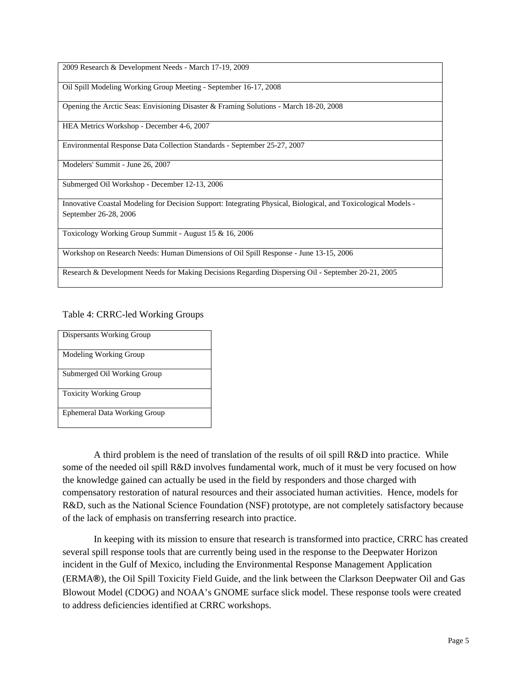2009 Research & Development Needs - March 17-19, 2009

Oil Spill Modeling Working Group Meeting - September 16-17, 2008

Opening the Arctic Seas: Envisioning Disaster & Framing Solutions - March 18-20, 2008

HEA Metrics Workshop - December 4-6, 2007

Environmental Response Data Collection Standards - September 25-27, 2007

Modelers' Summit - June 26, 2007

Submerged Oil Workshop - December 12-13, 2006

Innovative Coastal Modeling for Decision Support: Integrating Physical, Biological, and Toxicological Models - September 26-28, 2006

Toxicology Working Group Summit - August 15 & 16, 2006

Workshop on Research Needs: Human Dimensions of Oil Spill Response - June 13-15, 2006

Research & Development Needs for Making Decisions Regarding Dispersing Oil - September 20-21, 2005

#### Table 4: CRRC-led Working Groups

| Dispersants Working Group           |
|-------------------------------------|
| Modeling Working Group              |
| Submerged Oil Working Group         |
| <b>Toxicity Working Group</b>       |
| <b>Ephemeral Data Working Group</b> |

A third problem is the need of translation of the results of oil spill R&D into practice. While some of the needed oil spill R&D involves fundamental work, much of it must be very focused on how the knowledge gained can actually be used in the field by responders and those charged with compensatory restoration of natural resources and their associated human activities. Hence, models for R&D, such as the National Science Foundation (NSF) prototype, are not completely satisfactory because of the lack of emphasis on transferring research into practice.

In keeping with its mission to ensure that research is transformed into practice, CRRC has created several spill response tools that are currently being used in the response to the Deepwater Horizon incident in the Gulf of Mexico, including the Environmental Response Management Application (ERMA®), the Oil Spill Toxicity Field Guide, and the link between the Clarkson Deepwater Oil and Gas Blowout Model (CDOG) and NOAA's GNOME surface slick model. These response tools were created to address deficiencies identified at CRRC workshops.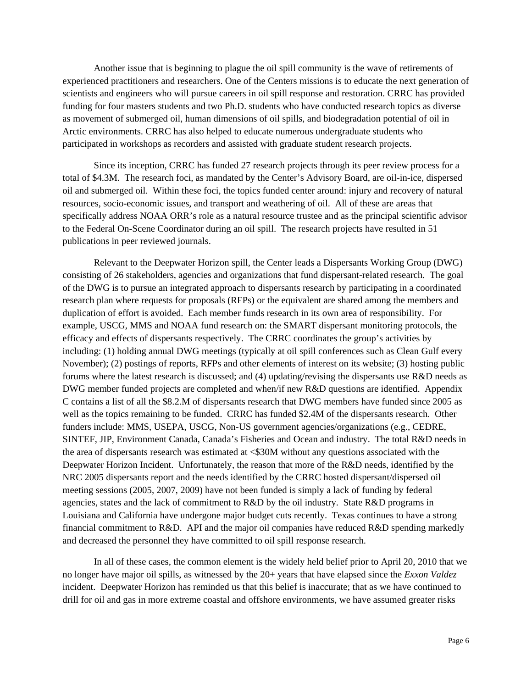Another issue that is beginning to plague the oil spill community is the wave of retirements of experienced practitioners and researchers. One of the Centers missions is to educate the next generation of scientists and engineers who will pursue careers in oil spill response and restoration. CRRC has provided funding for four masters students and two Ph.D. students who have conducted research topics as diverse as movement of submerged oil, human dimensions of oil spills, and biodegradation potential of oil in Arctic environments. CRRC has also helped to educate numerous undergraduate students who participated in workshops as recorders and assisted with graduate student research projects.

Since its inception, CRRC has funded 27 research projects through its peer review process for a total of \$4.3M. The research foci, as mandated by the Center's Advisory Board, are oil-in-ice, dispersed oil and submerged oil. Within these foci, the topics funded center around: injury and recovery of natural resources, socio-economic issues, and transport and weathering of oil. All of these are areas that specifically address NOAA ORR's role as a natural resource trustee and as the principal scientific advisor to the Federal On-Scene Coordinator during an oil spill. The research projects have resulted in 51 publications in peer reviewed journals.

Relevant to the Deepwater Horizon spill, the Center leads a Dispersants Working Group (DWG) consisting of 26 stakeholders, agencies and organizations that fund dispersant-related research. The goal of the DWG is to pursue an integrated approach to dispersants research by participating in a coordinated research plan where requests for proposals (RFPs) or the equivalent are shared among the members and duplication of effort is avoided. Each member funds research in its own area of responsibility. For example, USCG, MMS and NOAA fund research on: the SMART dispersant monitoring protocols, the efficacy and effects of dispersants respectively. The CRRC coordinates the group's activities by including: (1) holding annual DWG meetings (typically at oil spill conferences such as Clean Gulf every November); (2) postings of reports, RFPs and other elements of interest on its website; (3) hosting public forums where the latest research is discussed; and (4) updating/revising the dispersants use R&D needs as DWG member funded projects are completed and when/if new R&D questions are identified. Appendix C contains a list of all the \$8.2.M of dispersants research that DWG members have funded since 2005 as well as the topics remaining to be funded. CRRC has funded \$2.4M of the dispersants research. Other funders include: MMS, USEPA, USCG, Non-US government agencies/organizations (e.g., CEDRE, SINTEF, JIP, Environment Canada, Canada's Fisheries and Ocean and industry. The total R&D needs in the area of dispersants research was estimated at <\$30M without any questions associated with the Deepwater Horizon Incident. Unfortunately, the reason that more of the R&D needs, identified by the NRC 2005 dispersants report and the needs identified by the CRRC hosted dispersant/dispersed oil meeting sessions (2005, 2007, 2009) have not been funded is simply a lack of funding by federal agencies, states and the lack of commitment to R&D by the oil industry. State R&D programs in Louisiana and California have undergone major budget cuts recently. Texas continues to have a strong financial commitment to R&D. API and the major oil companies have reduced R&D spending markedly and decreased the personnel they have committed to oil spill response research.

In all of these cases, the common element is the widely held belief prior to April 20, 2010 that we no longer have major oil spills, as witnessed by the 20+ years that have elapsed since the *Exxon Valdez* incident. Deepwater Horizon has reminded us that this belief is inaccurate; that as we have continued to drill for oil and gas in more extreme coastal and offshore environments, we have assumed greater risks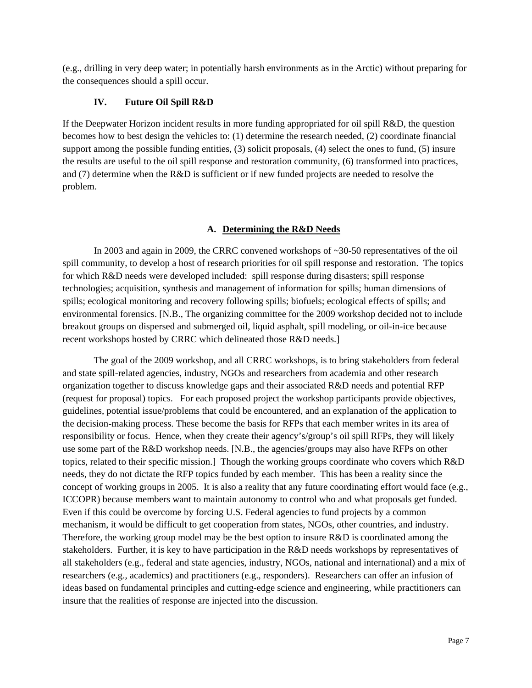(e.g., drilling in very deep water; in potentially harsh environments as in the Arctic) without preparing for the consequences should a spill occur.

#### **IV. Future Oil Spill R&D**

If the Deepwater Horizon incident results in more funding appropriated for oil spill R&D, the question becomes how to best design the vehicles to: (1) determine the research needed, (2) coordinate financial support among the possible funding entities, (3) solicit proposals, (4) select the ones to fund, (5) insure the results are useful to the oil spill response and restoration community, (6) transformed into practices, and (7) determine when the R&D is sufficient or if new funded projects are needed to resolve the problem.

#### **A. Determining the R&D Needs**

In 2003 and again in 2009, the CRRC convened workshops of ~30-50 representatives of the oil spill community, to develop a host of research priorities for oil spill response and restoration. The topics for which R&D needs were developed included: spill response during disasters; spill response technologies; acquisition, synthesis and management of information for spills; human dimensions of spills; ecological monitoring and recovery following spills; biofuels; ecological effects of spills; and environmental forensics. [N.B., The organizing committee for the 2009 workshop decided not to include breakout groups on dispersed and submerged oil, liquid asphalt, spill modeling, or oil-in-ice because recent workshops hosted by CRRC which delineated those R&D needs.]

The goal of the 2009 workshop, and all CRRC workshops, is to bring stakeholders from federal and state spill-related agencies, industry, NGOs and researchers from academia and other research organization together to discuss knowledge gaps and their associated R&D needs and potential RFP (request for proposal) topics. For each proposed project the workshop participants provide objectives, guidelines, potential issue/problems that could be encountered, and an explanation of the application to the decision-making process. These become the basis for RFPs that each member writes in its area of responsibility or focus. Hence, when they create their agency's/group's oil spill RFPs, they will likely use some part of the R&D workshop needs. [N.B., the agencies/groups may also have RFPs on other topics, related to their specific mission.] Though the working groups coordinate who covers which R&D needs, they do not dictate the RFP topics funded by each member. This has been a reality since the concept of working groups in 2005. It is also a reality that any future coordinating effort would face (e.g., ICCOPR) because members want to maintain autonomy to control who and what proposals get funded. Even if this could be overcome by forcing U.S. Federal agencies to fund projects by a common mechanism, it would be difficult to get cooperation from states, NGOs, other countries, and industry. Therefore, the working group model may be the best option to insure R&D is coordinated among the stakeholders. Further, it is key to have participation in the R&D needs workshops by representatives of all stakeholders (e.g., federal and state agencies, industry, NGOs, national and international) and a mix of researchers (e.g., academics) and practitioners (e.g., responders). Researchers can offer an infusion of ideas based on fundamental principles and cutting-edge science and engineering, while practitioners can insure that the realities of response are injected into the discussion.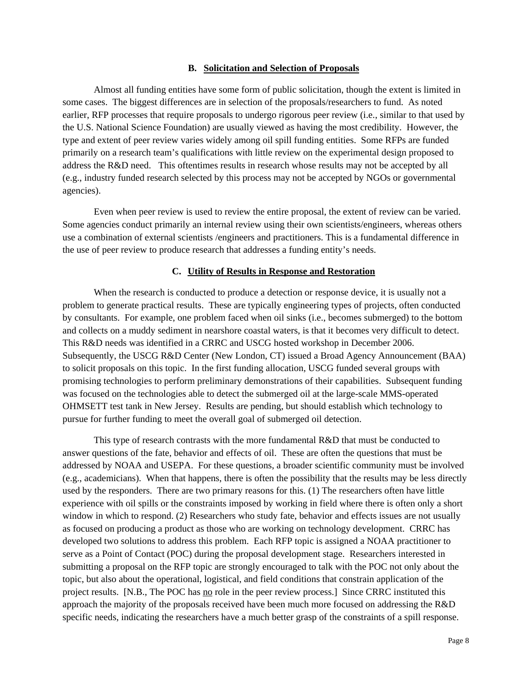#### **B. Solicitation and Selection of Proposals**

 Almost all funding entities have some form of public solicitation, though the extent is limited in some cases. The biggest differences are in selection of the proposals/researchers to fund. As noted earlier, RFP processes that require proposals to undergo rigorous peer review (i.e., similar to that used by the U.S. National Science Foundation) are usually viewed as having the most credibility. However, the type and extent of peer review varies widely among oil spill funding entities. Some RFPs are funded primarily on a research team's qualifications with little review on the experimental design proposed to address the R&D need. This oftentimes results in research whose results may not be accepted by all (e.g., industry funded research selected by this process may not be accepted by NGOs or governmental agencies).

 Even when peer review is used to review the entire proposal, the extent of review can be varied. Some agencies conduct primarily an internal review using their own scientists/engineers, whereas others use a combination of external scientists /engineers and practitioners. This is a fundamental difference in the use of peer review to produce research that addresses a funding entity's needs.

#### **C. Utility of Results in Response and Restoration**

 When the research is conducted to produce a detection or response device, it is usually not a problem to generate practical results. These are typically engineering types of projects, often conducted by consultants. For example, one problem faced when oil sinks (i.e., becomes submerged) to the bottom and collects on a muddy sediment in nearshore coastal waters, is that it becomes very difficult to detect. This R&D needs was identified in a CRRC and USCG hosted workshop in December 2006. Subsequently, the USCG R&D Center (New London, CT) issued a Broad Agency Announcement (BAA) to solicit proposals on this topic. In the first funding allocation, USCG funded several groups with promising technologies to perform preliminary demonstrations of their capabilities. Subsequent funding was focused on the technologies able to detect the submerged oil at the large-scale MMS-operated OHMSETT test tank in New Jersey. Results are pending, but should establish which technology to pursue for further funding to meet the overall goal of submerged oil detection.

 This type of research contrasts with the more fundamental R&D that must be conducted to answer questions of the fate, behavior and effects of oil. These are often the questions that must be addressed by NOAA and USEPA. For these questions, a broader scientific community must be involved (e.g., academicians). When that happens, there is often the possibility that the results may be less directly used by the responders. There are two primary reasons for this. (1) The researchers often have little experience with oil spills or the constraints imposed by working in field where there is often only a short window in which to respond. (2) Researchers who study fate, behavior and effects issues are not usually as focused on producing a product as those who are working on technology development. CRRC has developed two solutions to address this problem. Each RFP topic is assigned a NOAA practitioner to serve as a Point of Contact (POC) during the proposal development stage. Researchers interested in submitting a proposal on the RFP topic are strongly encouraged to talk with the POC not only about the topic, but also about the operational, logistical, and field conditions that constrain application of the project results. [N.B., The POC has no role in the peer review process.] Since CRRC instituted this approach the majority of the proposals received have been much more focused on addressing the R&D specific needs, indicating the researchers have a much better grasp of the constraints of a spill response.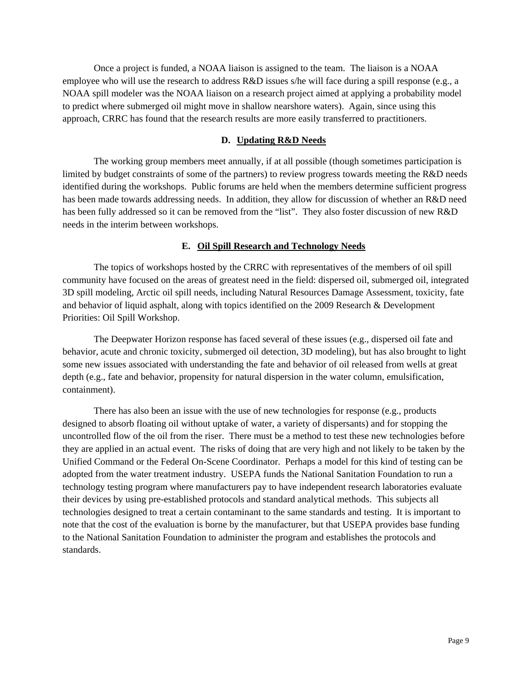Once a project is funded, a NOAA liaison is assigned to the team. The liaison is a NOAA employee who will use the research to address R&D issues s/he will face during a spill response (e.g., a NOAA spill modeler was the NOAA liaison on a research project aimed at applying a probability model to predict where submerged oil might move in shallow nearshore waters). Again, since using this approach, CRRC has found that the research results are more easily transferred to practitioners.

#### **D. Updating R&D Needs**

 The working group members meet annually, if at all possible (though sometimes participation is limited by budget constraints of some of the partners) to review progress towards meeting the R&D needs identified during the workshops. Public forums are held when the members determine sufficient progress has been made towards addressing needs. In addition, they allow for discussion of whether an R&D need has been fully addressed so it can be removed from the "list". They also foster discussion of new R&D needs in the interim between workshops.

#### **E. Oil Spill Research and Technology Needs**

 The topics of workshops hosted by the CRRC with representatives of the members of oil spill community have focused on the areas of greatest need in the field: dispersed oil, submerged oil, integrated 3D spill modeling, Arctic oil spill needs, including Natural Resources Damage Assessment, toxicity, fate and behavior of liquid asphalt, along with topics identified on the 2009 Research & Development Priorities: Oil Spill Workshop.

 The Deepwater Horizon response has faced several of these issues (e.g., dispersed oil fate and behavior, acute and chronic toxicity, submerged oil detection, 3D modeling), but has also brought to light some new issues associated with understanding the fate and behavior of oil released from wells at great depth (e.g., fate and behavior, propensity for natural dispersion in the water column, emulsification, containment).

 There has also been an issue with the use of new technologies for response (e.g., products designed to absorb floating oil without uptake of water, a variety of dispersants) and for stopping the uncontrolled flow of the oil from the riser. There must be a method to test these new technologies before they are applied in an actual event. The risks of doing that are very high and not likely to be taken by the Unified Command or the Federal On-Scene Coordinator. Perhaps a model for this kind of testing can be adopted from the water treatment industry. USEPA funds the National Sanitation Foundation to run a technology testing program where manufacturers pay to have independent research laboratories evaluate their devices by using pre-established protocols and standard analytical methods. This subjects all technologies designed to treat a certain contaminant to the same standards and testing. It is important to note that the cost of the evaluation is borne by the manufacturer, but that USEPA provides base funding to the National Sanitation Foundation to administer the program and establishes the protocols and standards.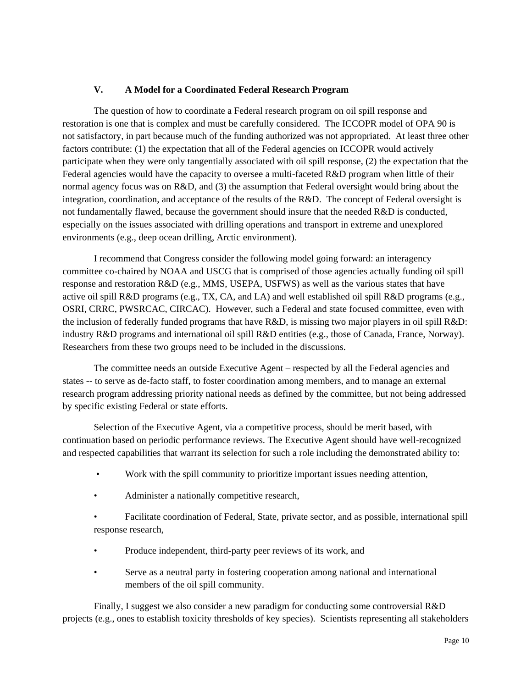#### **V. A Model for a Coordinated Federal Research Program**

 The question of how to coordinate a Federal research program on oil spill response and restoration is one that is complex and must be carefully considered. The ICCOPR model of OPA 90 is not satisfactory, in part because much of the funding authorized was not appropriated. At least three other factors contribute: (1) the expectation that all of the Federal agencies on ICCOPR would actively participate when they were only tangentially associated with oil spill response, (2) the expectation that the Federal agencies would have the capacity to oversee a multi-faceted R&D program when little of their normal agency focus was on R&D, and (3) the assumption that Federal oversight would bring about the integration, coordination, and acceptance of the results of the R&D. The concept of Federal oversight is not fundamentally flawed, because the government should insure that the needed R&D is conducted, especially on the issues associated with drilling operations and transport in extreme and unexplored environments (e.g., deep ocean drilling, Arctic environment).

 I recommend that Congress consider the following model going forward: an interagency committee co-chaired by NOAA and USCG that is comprised of those agencies actually funding oil spill response and restoration R&D (e.g., MMS, USEPA, USFWS) as well as the various states that have active oil spill R&D programs (e.g., TX, CA, and LA) and well established oil spill R&D programs (e.g., OSRI, CRRC, PWSRCAC, CIRCAC). However, such a Federal and state focused committee, even with the inclusion of federally funded programs that have R&D, is missing two major players in oil spill R&D: industry R&D programs and international oil spill R&D entities (e.g., those of Canada, France, Norway). Researchers from these two groups need to be included in the discussions.

The committee needs an outside Executive Agent – respected by all the Federal agencies and states -- to serve as de-facto staff, to foster coordination among members, and to manage an external research program addressing priority national needs as defined by the committee, but not being addressed by specific existing Federal or state efforts.

Selection of the Executive Agent, via a competitive process, should be merit based, with continuation based on periodic performance reviews. The Executive Agent should have well-recognized and respected capabilities that warrant its selection for such a role including the demonstrated ability to:

- Work with the spill community to prioritize important issues needing attention,
- Administer a nationally competitive research,
- Facilitate coordination of Federal, State, private sector, and as possible, international spill response research,
- Produce independent, third-party peer reviews of its work, and
- Serve as a neutral party in fostering cooperation among national and international members of the oil spill community.

Finally, I suggest we also consider a new paradigm for conducting some controversial R&D projects (e.g., ones to establish toxicity thresholds of key species). Scientists representing all stakeholders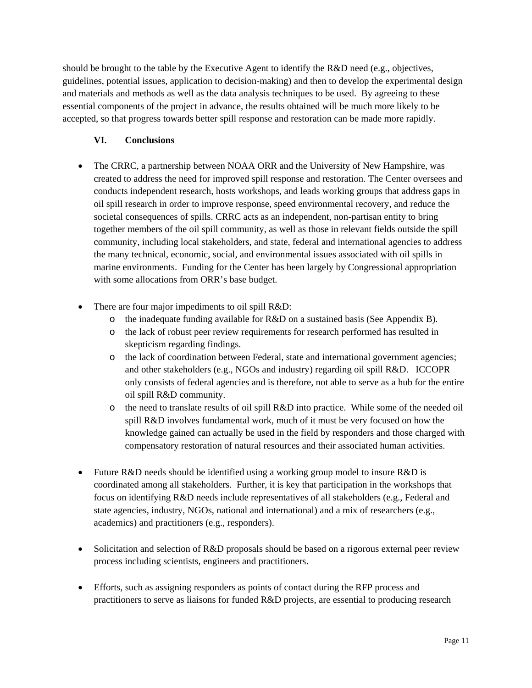should be brought to the table by the Executive Agent to identify the R&D need (e.g., objectives, guidelines, potential issues, application to decision-making) and then to develop the experimental design and materials and methods as well as the data analysis techniques to be used. By agreeing to these essential components of the project in advance, the results obtained will be much more likely to be accepted, so that progress towards better spill response and restoration can be made more rapidly.

### **VI. Conclusions**

- The CRRC, a partnership between NOAA ORR and the University of New Hampshire, was created to address the need for improved spill response and restoration. The Center oversees and conducts independent research, hosts workshops, and leads working groups that address gaps in oil spill research in order to improve response, speed environmental recovery, and reduce the societal consequences of spills. CRRC acts as an independent, non-partisan entity to bring together members of the oil spill community, as well as those in relevant fields outside the spill community, including local stakeholders, and state, federal and international agencies to address the many technical, economic, social, and environmental issues associated with oil spills in marine environments. Funding for the Center has been largely by Congressional appropriation with some allocations from ORR's base budget.
- There are four major impediments to oil spill R&D:
	- o the inadequate funding available for R&D on a sustained basis (See Appendix B).
	- o the lack of robust peer review requirements for research performed has resulted in skepticism regarding findings.
	- o the lack of coordination between Federal, state and international government agencies; and other stakeholders (e.g., NGOs and industry) regarding oil spill R&D. ICCOPR only consists of federal agencies and is therefore, not able to serve as a hub for the entire oil spill R&D community.
	- o the need to translate results of oil spill R&D into practice. While some of the needed oil spill R&D involves fundamental work, much of it must be very focused on how the knowledge gained can actually be used in the field by responders and those charged with compensatory restoration of natural resources and their associated human activities.
- Future R&D needs should be identified using a working group model to insure R&D is coordinated among all stakeholders. Further, it is key that participation in the workshops that focus on identifying R&D needs include representatives of all stakeholders (e.g., Federal and state agencies, industry, NGOs, national and international) and a mix of researchers (e.g., academics) and practitioners (e.g., responders).
- Solicitation and selection of R&D proposals should be based on a rigorous external peer review process including scientists, engineers and practitioners.
- Efforts, such as assigning responders as points of contact during the RFP process and practitioners to serve as liaisons for funded R&D projects, are essential to producing research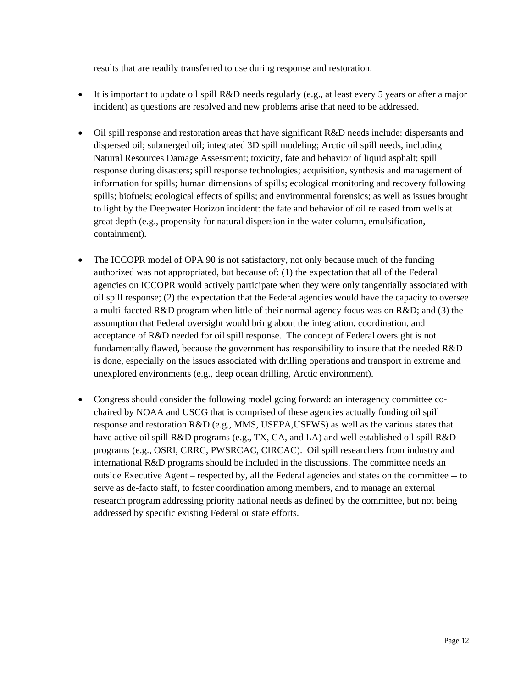results that are readily transferred to use during response and restoration.

- It is important to update oil spill R&D needs regularly (e.g., at least every 5 years or after a major incident) as questions are resolved and new problems arise that need to be addressed.
- Oil spill response and restoration areas that have significant R&D needs include: dispersants and dispersed oil; submerged oil; integrated 3D spill modeling; Arctic oil spill needs, including Natural Resources Damage Assessment; toxicity, fate and behavior of liquid asphalt; spill response during disasters; spill response technologies; acquisition, synthesis and management of information for spills; human dimensions of spills; ecological monitoring and recovery following spills; biofuels; ecological effects of spills; and environmental forensics; as well as issues brought to light by the Deepwater Horizon incident: the fate and behavior of oil released from wells at great depth (e.g., propensity for natural dispersion in the water column, emulsification, containment).
- The ICCOPR model of OPA 90 is not satisfactory, not only because much of the funding authorized was not appropriated, but because of: (1) the expectation that all of the Federal agencies on ICCOPR would actively participate when they were only tangentially associated with oil spill response; (2) the expectation that the Federal agencies would have the capacity to oversee a multi-faceted R&D program when little of their normal agency focus was on R&D; and (3) the assumption that Federal oversight would bring about the integration, coordination, and acceptance of R&D needed for oil spill response. The concept of Federal oversight is not fundamentally flawed, because the government has responsibility to insure that the needed R&D is done, especially on the issues associated with drilling operations and transport in extreme and unexplored environments (e.g., deep ocean drilling, Arctic environment).
- Congress should consider the following model going forward: an interagency committee cochaired by NOAA and USCG that is comprised of these agencies actually funding oil spill response and restoration R&D (e.g., MMS, USEPA,USFWS) as well as the various states that have active oil spill R&D programs (e.g., TX, CA, and LA) and well established oil spill R&D programs (e.g., OSRI, CRRC, PWSRCAC, CIRCAC). Oil spill researchers from industry and international R&D programs should be included in the discussions. The committee needs an outside Executive Agent – respected by, all the Federal agencies and states on the committee -- to serve as de-facto staff, to foster coordination among members, and to manage an external research program addressing priority national needs as defined by the committee, but not being addressed by specific existing Federal or state efforts.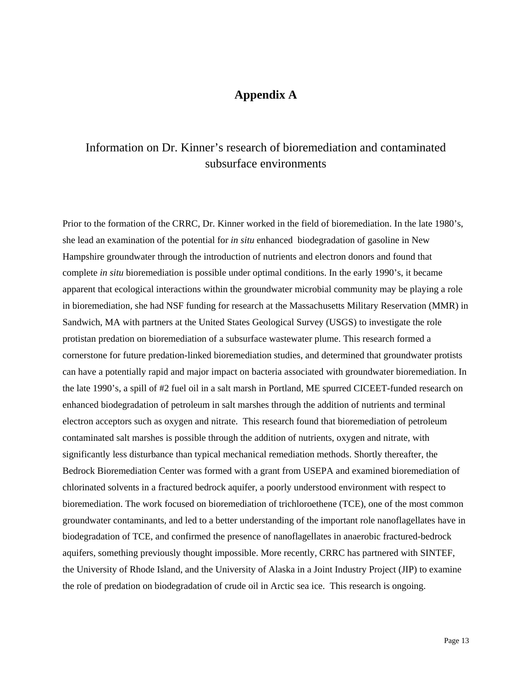## **Appendix A**

## Information on Dr. Kinner's research of bioremediation and contaminated subsurface environments

Prior to the formation of the CRRC, Dr. Kinner worked in the field of bioremediation. In the late 1980's, she lead an examination of the potential for *in situ* enhanced biodegradation of gasoline in New Hampshire groundwater through the introduction of nutrients and electron donors and found that complete *in situ* bioremediation is possible under optimal conditions. In the early 1990's, it became apparent that ecological interactions within the groundwater microbial community may be playing a role in bioremediation, she had NSF funding for research at the Massachusetts Military Reservation (MMR) in Sandwich, MA with partners at the United States Geological Survey (USGS) to investigate the role protistan predation on bioremediation of a subsurface wastewater plume. This research formed a cornerstone for future predation-linked bioremediation studies, and determined that groundwater protists can have a potentially rapid and major impact on bacteria associated with groundwater bioremediation. In the late 1990's, a spill of #2 fuel oil in a salt marsh in Portland, ME spurred CICEET-funded research on enhanced biodegradation of petroleum in salt marshes through the addition of nutrients and terminal electron acceptors such as oxygen and nitrate. This research found that bioremediation of petroleum contaminated salt marshes is possible through the addition of nutrients, oxygen and nitrate, with significantly less disturbance than typical mechanical remediation methods. Shortly thereafter, the Bedrock Bioremediation Center was formed with a grant from USEPA and examined bioremediation of chlorinated solvents in a fractured bedrock aquifer, a poorly understood environment with respect to bioremediation. The work focused on bioremediation of trichloroethene (TCE), one of the most common groundwater contaminants, and led to a better understanding of the important role nanoflagellates have in biodegradation of TCE, and confirmed the presence of nanoflagellates in anaerobic fractured-bedrock aquifers, something previously thought impossible. More recently, CRRC has partnered with SINTEF, the University of Rhode Island, and the University of Alaska in a Joint Industry Project (JIP) to examine the role of predation on biodegradation of crude oil in Arctic sea ice. This research is ongoing.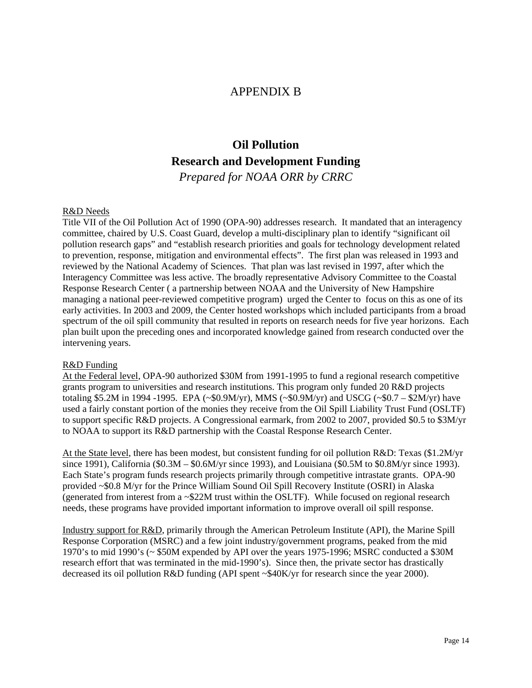## APPENDIX B

# **Oil Pollution Research and Development Funding**

*Prepared for NOAA ORR by CRRC*

#### R&D Needs

Title VII of the Oil Pollution Act of 1990 (OPA-90) addresses research. It mandated that an interagency committee, chaired by U.S. Coast Guard, develop a multi-disciplinary plan to identify "significant oil pollution research gaps" and "establish research priorities and goals for technology development related to prevention, response, mitigation and environmental effects". The first plan was released in 1993 and reviewed by the National Academy of Sciences. That plan was last revised in 1997, after which the Interagency Committee was less active. The broadly representative Advisory Committee to the Coastal Response Research Center ( a partnership between NOAA and the University of New Hampshire managing a national peer-reviewed competitive program) urged the Center to focus on this as one of its early activities. In 2003 and 2009, the Center hosted workshops which included participants from a broad spectrum of the oil spill community that resulted in reports on research needs for five year horizons. Each plan built upon the preceding ones and incorporated knowledge gained from research conducted over the intervening years.

#### R&D Funding

At the Federal level, OPA-90 authorized \$30M from 1991-1995 to fund a regional research competitive grants program to universities and research institutions. This program only funded 20 R&D projects totaling \$5.2M in 1994 -1995. EPA (~\$0.9M/yr), MMS (~\$0.9M/yr) and USCG (~\$0.7 – \$2M/yr) have used a fairly constant portion of the monies they receive from the Oil Spill Liability Trust Fund (OSLTF) to support specific R&D projects. A Congressional earmark, from 2002 to 2007, provided \$0.5 to \$3M/yr to NOAA to support its R&D partnership with the Coastal Response Research Center.

At the State level, there has been modest, but consistent funding for oil pollution R&D: Texas (\$1.2M/yr since 1991), California (\$0.3M – \$0.6M/yr since 1993), and Louisiana (\$0.5M to \$0.8M/yr since 1993). Each State's program funds research projects primarily through competitive intrastate grants. OPA-90 provided ~\$0.8 M/yr for the Prince William Sound Oil Spill Recovery Institute (OSRI) in Alaska (generated from interest from a ~\$22M trust within the OSLTF). While focused on regional research needs, these programs have provided important information to improve overall oil spill response.

Industry support for R&D, primarily through the American Petroleum Institute (API), the Marine Spill Response Corporation (MSRC) and a few joint industry/government programs, peaked from the mid 1970's to mid 1990's (~ \$50M expended by API over the years 1975-1996; MSRC conducted a \$30M research effort that was terminated in the mid-1990's). Since then, the private sector has drastically decreased its oil pollution R&D funding (API spent ~\$40K/yr for research since the year 2000).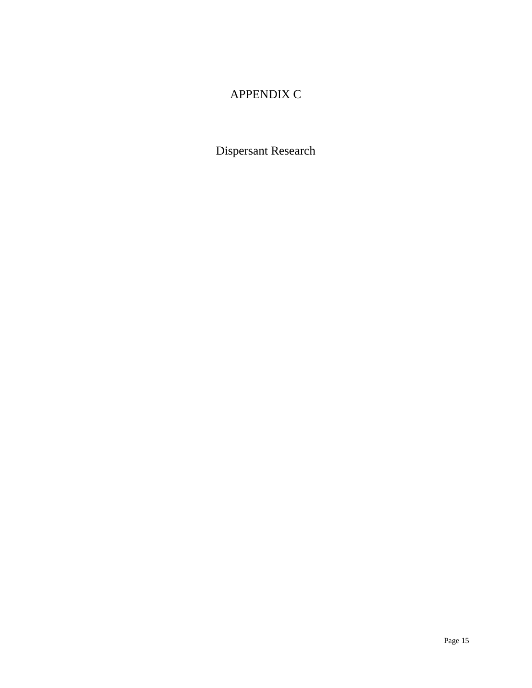## APPENDIX C

Dispersant Research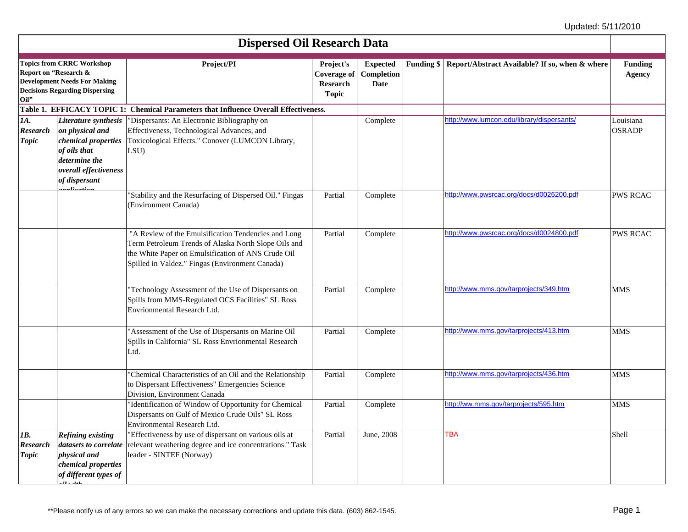| <b>Dispersed Oil Research Data</b>                  |                                                                                                                                                         |                                                                                                                                                                                                                      |                                                                    |                                       |                   |                                                |                                 |
|-----------------------------------------------------|---------------------------------------------------------------------------------------------------------------------------------------------------------|----------------------------------------------------------------------------------------------------------------------------------------------------------------------------------------------------------------------|--------------------------------------------------------------------|---------------------------------------|-------------------|------------------------------------------------|---------------------------------|
| Oil"                                                | <b>Topics from CRRC Workshop</b><br>Report on "Research &<br><b>Development Needs For Making</b><br><b>Decisions Regarding Dispersing</b>               | Project/PI                                                                                                                                                                                                           | Project's<br><b>Coverage of</b><br><b>Research</b><br><b>Topic</b> | <b>Expected</b><br>Completion<br>Date | <b>Funding \$</b> | Report/Abstract Available? If so, when & where | <b>Funding</b><br><b>Agency</b> |
|                                                     |                                                                                                                                                         | Table 1. EFFICACY TOPIC 1: Chemical Parameters that Influence Overall Effectiveness.                                                                                                                                 |                                                                    |                                       |                   |                                                |                                 |
| $\overline{IA.}$<br><b>Research</b><br><b>Topic</b> | Literature synthesis<br>on physical and<br>chemical properties<br>of oils that<br>determine the<br>overall effectiveness<br>of dispersant<br>muligation | "Dispersants: An Electronic Bibliography on<br>Effectiveness, Technological Advances, and<br>Toxicological Effects." Conover (LUMCON Library,<br>LSU)                                                                |                                                                    | Complete                              |                   | http://www.lumcon.edu/library/dispersants/     | Louisiana<br><b>OSRADP</b>      |
|                                                     |                                                                                                                                                         | "Stability and the Resurfacing of Dispersed Oil." Fingas<br>(Environment Canada)                                                                                                                                     | Partial                                                            | Complete                              |                   | http://www.pwsrcac.org/docs/d0026200.pdf       | <b>PWS RCAC</b>                 |
|                                                     |                                                                                                                                                         | "A Review of the Emulsification Tendencies and Long<br>Term Petroleum Trends of Alaska North Slope Oils and<br>the White Paper on Emulsification of ANS Crude Oil<br>Spilled in Valdez." Fingas (Environment Canada) | Partial                                                            | Complete                              |                   | http://www.pwsrcac.org/docs/d0024800.pdf       | <b>PWS RCAC</b>                 |
|                                                     |                                                                                                                                                         | 'Technology Assessment of the Use of Dispersants on<br>Spills from MMS-Regulated OCS Facilities" SL Ross<br>Envrionmental Research Ltd.                                                                              | Partial                                                            | Complete                              |                   | http://www.mms.gov/tarprojects/349.htm         | MMS                             |
|                                                     |                                                                                                                                                         | "Assessment of the Use of Dispersants on Marine Oil<br>Spills in California" SL Ross Envrionmental Research<br>Ltd.                                                                                                  | Partial                                                            | Complete                              |                   | http://www.mms.gov/tarprojects/413.htm         | <b>MMS</b>                      |
|                                                     |                                                                                                                                                         | "Chemical Characteristics of an Oil and the Relationship<br>to Dispersant Effectiveness" Emergencies Science<br>Division, Environment Canada                                                                         | Partial                                                            | Complete                              |                   | http://www.mms.gov/tarprojects/436.htm         | MMS                             |
|                                                     |                                                                                                                                                         | "Identification of Window of Opportunity for Chemical<br>Dispersants on Gulf of Mexico Crude Oils" SL Ross<br>Environmental Research Ltd.                                                                            | Partial                                                            | Complete                              |                   | http://ww.mms.gov/tarprojects/595.htm          | MMS                             |
| 1B.<br><b>Research</b><br><b>Topic</b>              | <b>Refining existing</b><br>datasets to correlate<br><i>physical and</i><br><i>chemical properties</i><br>of different types of                         | "Effectiveness by use of dispersant on various oils at<br>relevant weathering degree and ice concentrations." Task<br>leader - SINTEF (Norway)                                                                       | Partial                                                            | June, 2008                            |                   | TBA                                            | Shell                           |

Updated: 5/11/2010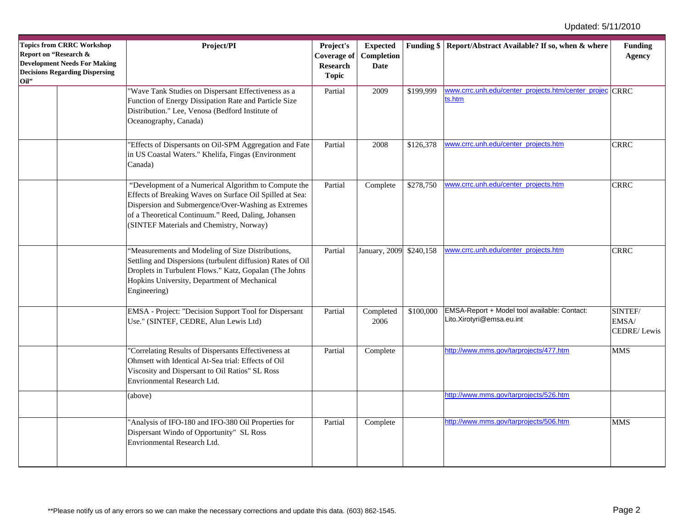| <b>Topics from CRRC Workshop</b><br>Report on "Research &<br><b>Development Needs For Making</b><br><b>Decisions Regarding Dispersing</b><br>Oil" | Project/PI                                                                                                                                                                                                                                                                 | Project's<br><b>Coverage of</b><br><b>Research</b><br><b>Topic</b> | <b>Expected</b><br>Completion<br>Date |           | Funding \$   Report/Abstract Available? If so, when & where               | <b>Funding</b><br><b>Agency</b>        |
|---------------------------------------------------------------------------------------------------------------------------------------------------|----------------------------------------------------------------------------------------------------------------------------------------------------------------------------------------------------------------------------------------------------------------------------|--------------------------------------------------------------------|---------------------------------------|-----------|---------------------------------------------------------------------------|----------------------------------------|
|                                                                                                                                                   | "Wave Tank Studies on Dispersant Effectiveness as a<br>Function of Energy Dissipation Rate and Particle Size<br>Distribution." Lee, Venosa (Bedford Institute of<br>Oceanography, Canada)                                                                                  | Partial                                                            | 2009                                  | \$199,999 | www.crrc.unh.edu/center_projects.htm/center_projec<br>ts.htm              | <b>CRRC</b>                            |
|                                                                                                                                                   | "Effects of Dispersants on Oil-SPM Aggregation and Fate<br>in US Coastal Waters." Khelifa, Fingas (Environment<br>Canada)                                                                                                                                                  | Partial                                                            | 2008                                  | \$126,378 | www.crrc.unh.edu/center_projects.htm                                      | <b>CRRC</b>                            |
|                                                                                                                                                   | "Development of a Numerical Algorithm to Compute the<br>Effects of Breaking Waves on Surface Oil Spilled at Sea:<br>Dispersion and Submergence/Over-Washing as Extremes<br>of a Theoretical Continuum." Reed, Daling, Johansen<br>(SINTEF Materials and Chemistry, Norway) | Partial                                                            | Complete                              | \$278,750 | www.crrc.unh.edu/center_projects.htm                                      | <b>CRRC</b>                            |
|                                                                                                                                                   | "Measurements and Modeling of Size Distributions,<br>Settling and Dispersions (turbulent diffusion) Rates of Oil<br>Droplets in Turbulent Flows." Katz, Gopalan (The Johns<br>Hopkins University, Department of Mechanical<br>Engineering)                                 | Partial                                                            | January, 2009                         | \$240,158 | www.crrc.unh.edu/center_projects.htm                                      | <b>CRRC</b>                            |
|                                                                                                                                                   | EMSA - Project: "Decision Support Tool for Dispersant<br>Use." (SINTEF, CEDRE, Alun Lewis Ltd)                                                                                                                                                                             | Partial                                                            | Completed<br>2006                     | \$100,000 | EMSA-Report + Model tool available: Contact:<br>Lito.Xirotyri@emsa.eu.int | SINTEF/<br>EMSA/<br><b>CEDRE/Lewis</b> |
|                                                                                                                                                   | "Correlating Results of Dispersants Effectiveness at<br>Ohmsett with Identical At-Sea trial: Effects of Oil<br>Viscosity and Dispersant to Oil Ratios" SL Ross<br>Envrionmental Research Ltd.                                                                              | Partial                                                            | Complete                              |           | http://www.mms.gov/tarprojects/477.htm                                    | <b>MMS</b>                             |
|                                                                                                                                                   | (above)                                                                                                                                                                                                                                                                    |                                                                    |                                       |           | http://www.mms.gov/tarprojects/526.htm                                    |                                        |
|                                                                                                                                                   | "Analysis of IFO-180 and IFO-380 Oil Properties for<br>Dispersant Windo of Opportunity" SL Ross<br>Envrionmental Research Ltd.                                                                                                                                             | Partial                                                            | Complete                              |           | http://www.mms.gov/tarprojects/506.htm                                    | <b>MMS</b>                             |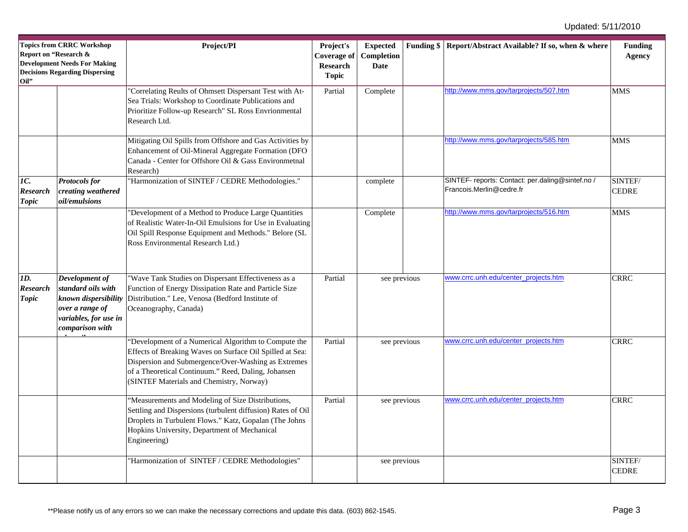| Oil"                                   | <b>Topics from CRRC Workshop</b><br>Report on "Research &<br><b>Development Needs For Making</b><br><b>Decisions Regarding Dispersing</b> | Project/PI                                                                                                                                                                                                                                                                 | Project's<br>Coverage of<br><b>Research</b><br><b>Topic</b> | <b>Expected</b><br>Completion<br>Date |  | Funding \$   Report/Abstract Available? If so, when & where                  | <b>Funding</b><br><b>Agency</b> |
|----------------------------------------|-------------------------------------------------------------------------------------------------------------------------------------------|----------------------------------------------------------------------------------------------------------------------------------------------------------------------------------------------------------------------------------------------------------------------------|-------------------------------------------------------------|---------------------------------------|--|------------------------------------------------------------------------------|---------------------------------|
|                                        |                                                                                                                                           | "Correlating Reults of Ohmsett Dispersant Test with At-<br>Sea Trials: Workshop to Coordinate Publications and<br>Prioritize Follow-up Research" SL Ross Envrionmental<br>Research Ltd.                                                                                    | Partial                                                     | Complete                              |  | http://www.mms.gov/tarprojects/507.htm                                       | <b>MMS</b>                      |
|                                        |                                                                                                                                           | Mitigating Oil Spills from Offshore and Gas Activities by<br>Enhancement of Oil-Mineral Aggregate Formation (DFO<br>Canada - Center for Offshore Oil & Gass Environmetnal<br>Research)                                                                                     |                                                             |                                       |  | http://www.mms.gov/tarprojects/585.htm                                       | <b>MMS</b>                      |
| 1C.<br><b>Research</b><br><b>Topic</b> | <b>Protocols for</b><br>creating weathered<br>oil/emulsions                                                                               | "Harmonization of SINTEF / CEDRE Methodologies."                                                                                                                                                                                                                           |                                                             | complete                              |  | SINTEF- reports: Contact: per.daling@sintef.no /<br>Francois.Merlin@cedre.fr | SINTEF/<br><b>CEDRE</b>         |
|                                        |                                                                                                                                           | 'Development of a Method to Produce Large Quantities<br>of Realistic Water-In-Oil Emulsions for Use in Evaluating<br>Oil Spill Response Equipment and Methods." Belore (SL<br>Ross Environmental Research Ltd.)                                                            |                                                             | Complete                              |  | http://www.mms.gov/tarprojects/516.htm                                       | <b>MMS</b>                      |
| ID.<br><b>Research</b><br><b>Topic</b> | Development of<br>standard oils with<br>known dispersibility<br>over a range of<br>variables, for use in<br>comparison with               | 'Wave Tank Studies on Dispersant Effectiveness as a<br>Function of Energy Dissipation Rate and Particle Size<br>Distribution." Lee, Venosa (Bedford Institute of<br>Oceanography, Canada)                                                                                  | Partial                                                     | see previous                          |  | www.crrc.unh.edu/center_projects.htm                                         | <b>CRRC</b>                     |
|                                        |                                                                                                                                           | 'Development of a Numerical Algorithm to Compute the<br>Effects of Breaking Waves on Surface Oil Spilled at Sea:<br>Dispersion and Submergence/Over-Washing as Extremes<br>of a Theoretical Continuum." Reed, Daling, Johansen<br>(SINTEF Materials and Chemistry, Norway) | Partial                                                     | see previous                          |  | www.crrc.unh.edu/center_projects.htm                                         | <b>CRRC</b>                     |
|                                        |                                                                                                                                           | "Measurements and Modeling of Size Distributions,<br>Settling and Dispersions (turbulent diffusion) Rates of Oil<br>Droplets in Turbulent Flows." Katz, Gopalan (The Johns<br>Hopkins University, Department of Mechanical<br>Engineering)                                 | Partial                                                     | see previous                          |  | www.crrc.unh.edu/center_projects.htm                                         | <b>CRRC</b>                     |
|                                        |                                                                                                                                           | 'Harmonization of SINTEF / CEDRE Methodologies"                                                                                                                                                                                                                            |                                                             | see previous                          |  |                                                                              | SINTEF/<br><b>CEDRE</b>         |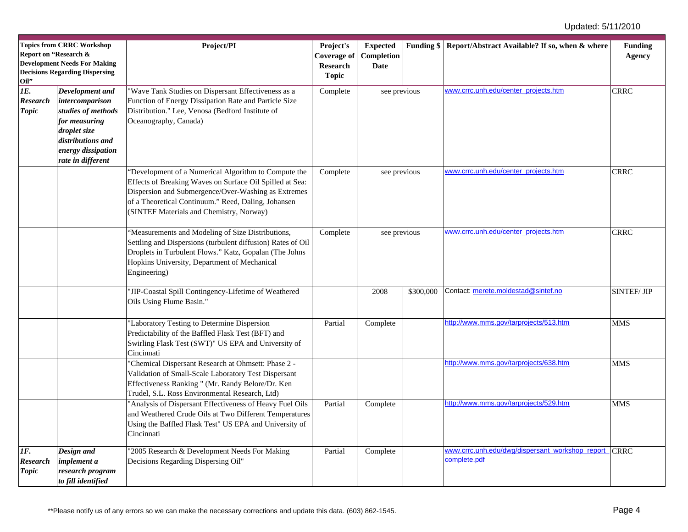| Oil"                                          | <b>Topics from CRRC Workshop</b><br>Report on "Research &<br><b>Development Needs For Making</b><br><b>Decisions Regarding Dispersing</b>                 | Project/PI                                                                                                                                                                                                                                                                 | Project's<br>Coverage of<br><b>Research</b><br><b>Topic</b> | <b>Expected</b><br>Completion<br><b>Date</b> |              | Funding \$ Report/Abstract Available? If so, when & where       | <b>Funding</b><br>Agency |
|-----------------------------------------------|-----------------------------------------------------------------------------------------------------------------------------------------------------------|----------------------------------------------------------------------------------------------------------------------------------------------------------------------------------------------------------------------------------------------------------------------------|-------------------------------------------------------------|----------------------------------------------|--------------|-----------------------------------------------------------------|--------------------------|
| <b>IE.</b><br><b>Research</b><br><b>Topic</b> | Development and<br>intercomparison<br>studies of methods<br>for measuring<br>droplet size<br>distributions and<br>energy dissipation<br>rate in different | "Wave Tank Studies on Dispersant Effectiveness as a<br>Function of Energy Dissipation Rate and Particle Size<br>Distribution." Lee, Venosa (Bedford Institute of<br>Oceanography, Canada)                                                                                  | Complete                                                    | see previous<br>see previous                 |              | www.crrc.unh.edu/center_projects.htm                            | <b>CRRC</b>              |
|                                               |                                                                                                                                                           | 'Development of a Numerical Algorithm to Compute the<br>Effects of Breaking Waves on Surface Oil Spilled at Sea:<br>Dispersion and Submergence/Over-Washing as Extremes<br>of a Theoretical Continuum." Reed, Daling, Johansen<br>(SINTEF Materials and Chemistry, Norway) | Complete                                                    |                                              |              | www.crrc.unh.edu/center_projects.htm                            | <b>CRRC</b>              |
|                                               |                                                                                                                                                           | "Measurements and Modeling of Size Distributions,<br>Settling and Dispersions (turbulent diffusion) Rates of Oil<br>Droplets in Turbulent Flows." Katz, Gopalan (The Johns<br>Hopkins University, Department of Mechanical<br>Engineering)                                 | Complete                                                    |                                              | see previous | www.crrc.unh.edu/center_projects.htm                            | <b>CRRC</b>              |
|                                               |                                                                                                                                                           | "JIP-Coastal Spill Contingency-Lifetime of Weathered<br>Oils Using Flume Basin."                                                                                                                                                                                           |                                                             | 2008                                         | \$300,000    | Contact: merete.moldestad@sintef.no                             | <b>SINTEF/JIP</b>        |
|                                               |                                                                                                                                                           | 'Laboratory Testing to Determine Dispersion<br>Predictability of the Baffled Flask Test (BFT) and<br>Swirling Flask Test (SWT)" US EPA and University of<br>Cincinnati                                                                                                     | Partial                                                     | Complete                                     |              | http://www.mms.gov/tarprojects/513.htm                          | <b>MMS</b>               |
|                                               |                                                                                                                                                           | 'Chemical Dispersant Research at Ohmsett: Phase 2 -<br>Validation of Small-Scale Laboratory Test Dispersant<br>Effectiveness Ranking " (Mr. Randy Belore/Dr. Ken<br>Trudel, S.L. Ross Environmental Research, Ltd)                                                         |                                                             |                                              |              | http://www.mms.gov/tarprojects/638.htm                          | <b>MMS</b>               |
|                                               |                                                                                                                                                           | "Analysis of Dispersant Effectiveness of Heavy Fuel Oils<br>and Weathered Crude Oils at Two Different Temperatures<br>Using the Baffled Flask Test" US EPA and University of<br>Cincinnati                                                                                 | Partial                                                     | Complete                                     |              | http://www.mms.gov/tarprojects/529.htm                          | <b>MMS</b>               |
| IF.<br><b>Research</b><br><b>Topic</b>        | Design and<br>implement a<br>research program<br>to fill identified                                                                                       | '2005 Research & Development Needs For Making<br>Decisions Regarding Dispersing Oil"                                                                                                                                                                                       | Partial                                                     | Complete                                     |              | www.crrc.unh.edu/dwg/dispersant workshop report<br>complete.pdf | <b>CRRC</b>              |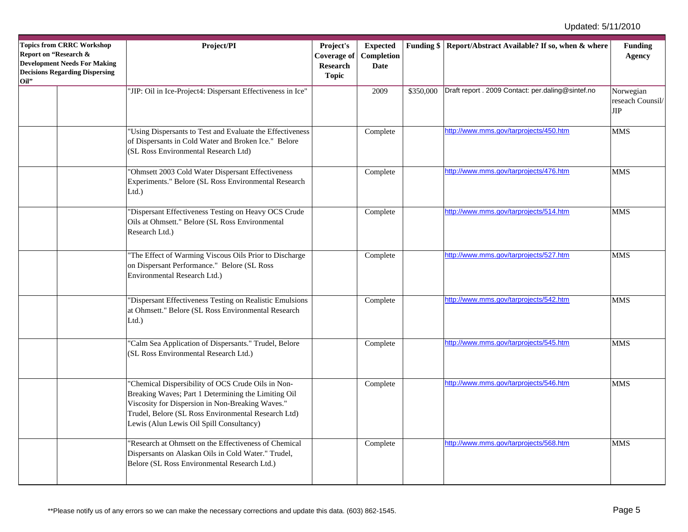| Report on "Research &<br>Oil" | <b>Topics from CRRC Workshop</b><br><b>Development Needs For Making</b><br><b>Decisions Regarding Dispersing</b> | Project/PI                                                                                                                                                                                                                                                       | Project's<br><b>Coverage of</b><br>Research<br><b>Topic</b> | <b>Expected</b><br>Completion<br><b>Date</b> |           | Funding \$   Report/Abstract Available? If so, when & where | <b>Funding</b><br><b>Agency</b>      |
|-------------------------------|------------------------------------------------------------------------------------------------------------------|------------------------------------------------------------------------------------------------------------------------------------------------------------------------------------------------------------------------------------------------------------------|-------------------------------------------------------------|----------------------------------------------|-----------|-------------------------------------------------------------|--------------------------------------|
|                               |                                                                                                                  | "JIP: Oil in Ice-Project4: Dispersant Effectiveness in Ice"                                                                                                                                                                                                      |                                                             | 2009                                         | \$350,000 | Draft report . 2009 Contact: per.daling@sintef.no           | Norwegian<br>reseach Counsil/<br>JIP |
|                               |                                                                                                                  | 'Using Dispersants to Test and Evaluate the Effectiveness<br>of Dispersants in Cold Water and Broken Ice." Belore<br>(SL Ross Environmental Research Ltd)                                                                                                        |                                                             | Complete                                     |           | http://www.mms.gov/tarprojects/450.htm                      | <b>MMS</b>                           |
|                               |                                                                                                                  | 'Ohmsett 2003 Cold Water Dispersant Effectiveness<br>Experiments." Belore (SL Ross Environmental Research<br>Ltd.                                                                                                                                                |                                                             | Complete                                     |           | http://www.mms.gov/tarprojects/476.htm                      | MMS                                  |
|                               |                                                                                                                  | "Dispersant Effectiveness Testing on Heavy OCS Crude<br>Oils at Ohmsett." Belore (SL Ross Environmental<br>Research Ltd.)                                                                                                                                        |                                                             | Complete                                     |           | http://www.mms.gov/tarprojects/514.htm                      | MMS                                  |
|                               |                                                                                                                  | 'The Effect of Warming Viscous Oils Prior to Discharge<br>on Dispersant Performance." Belore (SL Ross<br>Environmental Research Ltd.)                                                                                                                            |                                                             | Complete                                     |           | http://www.mms.gov/tarprojects/527.htm                      | <b>MMS</b>                           |
|                               |                                                                                                                  | "Dispersant Effectiveness Testing on Realistic Emulsions<br>at Ohmsett." Belore (SL Ross Environmental Research<br>Ltd.                                                                                                                                          |                                                             | Complete                                     |           | http://www.mms.gov/tarprojects/542.htm                      | <b>MMS</b>                           |
|                               |                                                                                                                  | 'Calm Sea Application of Dispersants." Trudel, Belore<br>(SL Ross Environmental Research Ltd.)                                                                                                                                                                   |                                                             | Complete                                     |           | http://www.mms.gov/tarprojects/545.htm                      | MMS                                  |
|                               |                                                                                                                  | "Chemical Dispersibility of OCS Crude Oils in Non-<br>Breaking Waves; Part 1 Determining the Limiting Oil<br>Viscosity for Dispersion in Non-Breaking Waves."<br>Trudel, Belore (SL Ross Environmental Research Ltd)<br>Lewis (Alun Lewis Oil Spill Consultancy) |                                                             | Complete                                     |           | http://www.mms.gov/tarprojects/546.htm                      | <b>MMS</b>                           |
|                               |                                                                                                                  | 'Research at Ohmsett on the Effectiveness of Chemical<br>Dispersants on Alaskan Oils in Cold Water." Trudel,<br>Belore (SL Ross Environmental Research Ltd.)                                                                                                     |                                                             | Complete                                     |           | http://www.mms.gov/tarprojects/568.htm                      | MMS                                  |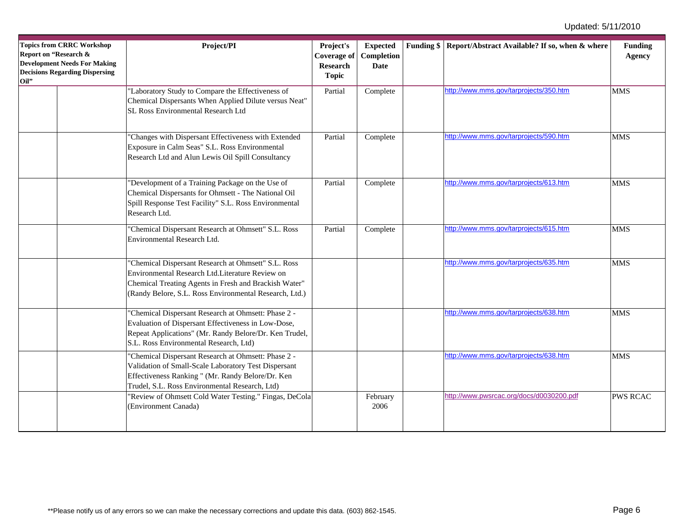| Report on "Research &<br>Oil" | <b>Topics from CRRC Workshop</b><br><b>Development Needs For Making</b><br><b>Decisions Regarding Dispersing</b> | Project/PI                                                                                                                                                                                                                | Project's<br><b>Coverage of</b><br>Research<br><b>Topic</b> | <b>Expected</b><br>Completion<br>Date | Funding \$   Report/Abstract Available? If so, when & where | <b>Funding</b><br>Agency |
|-------------------------------|------------------------------------------------------------------------------------------------------------------|---------------------------------------------------------------------------------------------------------------------------------------------------------------------------------------------------------------------------|-------------------------------------------------------------|---------------------------------------|-------------------------------------------------------------|--------------------------|
|                               |                                                                                                                  | 'Laboratory Study to Compare the Effectiveness of<br>Chemical Dispersants When Applied Dilute versus Neat"<br>SL Ross Environmental Research Ltd                                                                          | Partial                                                     | Complete                              | http://www.mms.gov/tarprojects/350.htm                      | <b>MMS</b>               |
|                               |                                                                                                                  | 'Changes with Dispersant Effectiveness with Extended<br>Exposure in Calm Seas" S.L. Ross Environmental<br>Research Ltd and Alun Lewis Oil Spill Consultancy                                                               | Partial                                                     | Complete                              | http://www.mms.gov/tarprojects/590.htm                      | <b>MMS</b>               |
|                               |                                                                                                                  | 'Development of a Training Package on the Use of<br>Chemical Dispersants for Ohmsett - The National Oil<br>Spill Response Test Facility" S.L. Ross Environmental<br>Research Ltd.                                         | Partial                                                     | Complete                              | http://www.mms.gov/tarprojects/613.htm                      | <b>MMS</b>               |
|                               |                                                                                                                  | 'Chemical Dispersant Research at Ohmsett" S.L. Ross<br>Environmental Research Ltd.                                                                                                                                        | Partial                                                     | Complete                              | http://www.mms.gov/tarprojects/615.htm                      | <b>MMS</b>               |
|                               |                                                                                                                  | 'Chemical Dispersant Research at Ohmsett" S.L. Ross<br>Environmental Research Ltd.Literature Review on<br>Chemical Treating Agents in Fresh and Brackish Water"<br>(Randy Belore, S.L. Ross Environmental Research, Ltd.) |                                                             |                                       | http://www.mms.gov/tarprojects/635.htm                      | <b>MMS</b>               |
|                               |                                                                                                                  | 'Chemical Dispersant Research at Ohmsett: Phase 2 -<br>Evaluation of Dispersant Effectiveness in Low-Dose,<br>Repeat Applications" (Mr. Randy Belore/Dr. Ken Trudel,<br>S.L. Ross Environmental Research, Ltd)            |                                                             |                                       | http://www.mms.gov/tarprojects/638.htm                      | <b>MMS</b>               |
|                               |                                                                                                                  | 'Chemical Dispersant Research at Ohmsett: Phase 2 -<br>Validation of Small-Scale Laboratory Test Dispersant<br>Effectiveness Ranking " (Mr. Randy Belore/Dr. Ken<br>Trudel, S.L. Ross Environmental Research, Ltd)        |                                                             |                                       | http://www.mms.gov/tarprojects/638.htm                      | <b>MMS</b>               |
|                               |                                                                                                                  | 'Review of Ohmsett Cold Water Testing." Fingas, DeCola<br>(Environment Canada)                                                                                                                                            |                                                             | February<br>2006                      | http://www.pwsrcac.org/docs/d0030200.pdf                    | <b>PWS RCAC</b>          |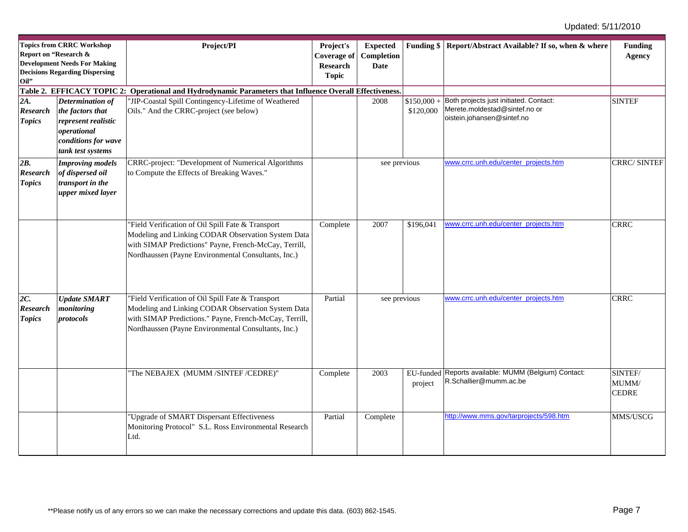| Oil"                                       | <b>Topics from CRRC Workshop</b><br>Report on "Research &<br><b>Development Needs For Making</b><br><b>Decisions Regarding Dispersing</b> | Project/PI                                                                                                                                                                                                               | Project's<br><b>Coverage of</b><br><b>Research</b><br><b>Topic</b> | <b>Expected</b><br>Completion<br><b>Date</b> |           | Funding \$   Report/Abstract Available? If so, when & where                    | <b>Funding</b><br><b>Agency</b>  |
|--------------------------------------------|-------------------------------------------------------------------------------------------------------------------------------------------|--------------------------------------------------------------------------------------------------------------------------------------------------------------------------------------------------------------------------|--------------------------------------------------------------------|----------------------------------------------|-----------|--------------------------------------------------------------------------------|----------------------------------|
| 2A.                                        | Determination of                                                                                                                          | Table 2. EFFICACY TOPIC 2: Operational and Hydrodynamic Parameters that Influence Overall Effectiveness.<br>'JIP-Coastal Spill Contingency-Lifetime of Weathered                                                         |                                                                    | 2008                                         | \$150,000 | Both projects just initiated. Contact:                                         | <b>SINTEF</b>                    |
| <b>Research</b><br><b>Topics</b>           | the factors that<br>represent realistic<br>operational<br>conditions for wave<br>tank test systems                                        | Oils." And the CRRC-project (see below)                                                                                                                                                                                  |                                                                    |                                              | \$120,000 | Merete.moldestad@sintef.no or<br>oistein.johansen@sintef.no                    |                                  |
| 2B.<br>Research<br><b>Topics</b>           | <b>Improving models</b><br>of dispersed oil<br>transport in the<br>upper mixed layer                                                      | CRRC-project: "Development of Numerical Algorithms<br>to Compute the Effects of Breaking Waves."                                                                                                                         |                                                                    | see previous                                 |           | www.crrc.unh.edu/center_projects.htm                                           | <b>CRRC/SINTEF</b>               |
|                                            |                                                                                                                                           | "Field Verification of Oil Spill Fate & Transport<br>Modeling and Linking CODAR Observation System Data<br>with SIMAP Predictions" Payne, French-McCay, Terrill,<br>Nordhaussen (Payne Environmental Consultants, Inc.)  | Complete                                                           | 2007                                         | \$196,041 | www.crrc.unh.edu/center_projects.htm                                           | <b>CRRC</b>                      |
| $2C$ .<br><b>Research</b><br><b>Topics</b> | <b>Update SMART</b><br>monitoring<br>protocols                                                                                            | "Field Verification of Oil Spill Fate & Transport<br>Modeling and Linking CODAR Observation System Data<br>with SIMAP Predictions." Payne, French-McCay, Terrill,<br>Nordhaussen (Payne Environmental Consultants, Inc.) | Partial                                                            | see previous                                 |           | www.crrc.unh.edu/center_projects.htm                                           | <b>CRRC</b>                      |
|                                            |                                                                                                                                           | "The NEBAJEX (MUMM /SINTEF /CEDRE)"                                                                                                                                                                                      | Complete                                                           | 2003                                         | project   | EU-funded Reports available: MUMM (Belgium) Contact:<br>R.Schallier@mumm.ac.be | SINTEF/<br>MUMM/<br><b>CEDRE</b> |
|                                            |                                                                                                                                           | 'Upgrade of SMART Dispersant Effectiveness<br>Monitoring Protocol" S.L. Ross Environmental Research<br>Ltd.                                                                                                              | Partial                                                            | Complete                                     |           | http://www.mms.gov/tarprojects/598.htm                                         | MMS/USCG                         |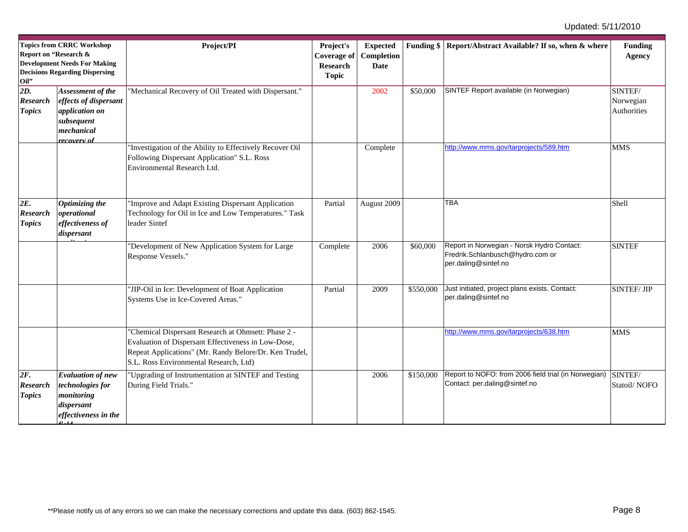| Report on "Research &<br>Oil"                  | <b>Topics from CRRC Workshop</b><br><b>Development Needs For Making</b><br><b>Decisions Regarding Dispersing</b> | Project/PI                                                                                                                                                                                                     | Project's<br><b>Coverage of</b><br><b>Research</b><br><b>Topic</b> | <b>Expected</b><br>Completion<br>Date |           | Funding \$   Report/Abstract Available? If so, when & where                                            | <b>Funding</b><br><b>Agency</b>     |
|------------------------------------------------|------------------------------------------------------------------------------------------------------------------|----------------------------------------------------------------------------------------------------------------------------------------------------------------------------------------------------------------|--------------------------------------------------------------------|---------------------------------------|-----------|--------------------------------------------------------------------------------------------------------|-------------------------------------|
| $\overline{2D}$ .<br>Research<br><b>Topics</b> | Assessment of the<br>effects of dispersant<br>application on<br>subsequent<br>mechanical<br><u>recovery of</u>   | "Mechanical Recovery of Oil Treated with Dispersant."                                                                                                                                                          |                                                                    | 2002                                  | \$50,000  | SINTEF Report available (in Norwegian)                                                                 | SINTEF/<br>Norwegian<br>Authorities |
|                                                |                                                                                                                  | 'Investigation of the Ability to Effectively Recover Oil<br>Following Dispersant Application" S.L. Ross<br>Environmental Research Ltd.                                                                         |                                                                    | Complete                              |           | http://www.mms.gov/tarprojects/589.htm                                                                 | <b>MMS</b>                          |
| $2E$ .<br><b>Research</b><br><b>Topics</b>     | <b>Optimizing the</b><br>operational<br>effectiveness of<br>dispersant                                           | "Improve and Adapt Existing Dispersant Application<br>Technology for Oil in Ice and Low Temperatures." Task<br>leader Sintef                                                                                   | Partial                                                            | August 2009                           |           | <b>TBA</b>                                                                                             | Shell                               |
|                                                |                                                                                                                  | "Development of New Application System for Large<br>Response Vessels."                                                                                                                                         | Complete                                                           | 2006                                  | \$60,000  | Report in Norwegian - Norsk Hydro Contact:<br>Fredrik.Schlanbusch@hydro.com or<br>per.daling@sintef.no | <b>SINTEF</b>                       |
|                                                |                                                                                                                  | "JIP-Oil in Ice: Development of Boat Application<br>Systems Use in Ice-Covered Areas."                                                                                                                         | Partial                                                            | 2009                                  | \$550,000 | Just initiated, project plans exists. Contact:<br>per.daling@sintef.no                                 | <b>SINTEF/JIP</b>                   |
|                                                |                                                                                                                  | "Chemical Dispersant Research at Ohmsett: Phase 2 -<br>Evaluation of Dispersant Effectiveness in Low-Dose,<br>Repeat Applications" (Mr. Randy Belore/Dr. Ken Trudel,<br>S.L. Ross Environmental Research, Ltd) |                                                                    |                                       |           | http://www.mms.gov/tarprojects/638.htm                                                                 | <b>MMS</b>                          |
| $2F$ .<br><b>Research</b><br><b>Topics</b>     | <b>Evaluation of new</b><br>technologies for<br>monitoring<br>dispersant<br>effectiveness in the                 | "Upgrading of Instrumentation at SINTEF and Testing<br>During Field Trials."                                                                                                                                   |                                                                    | 2006                                  | \$150,000 | Report to NOFO: from 2006 field trial (in Norwegian)<br>Contact: per.daling@sintef.no                  | SINTEF/<br>Statoil/NOFO             |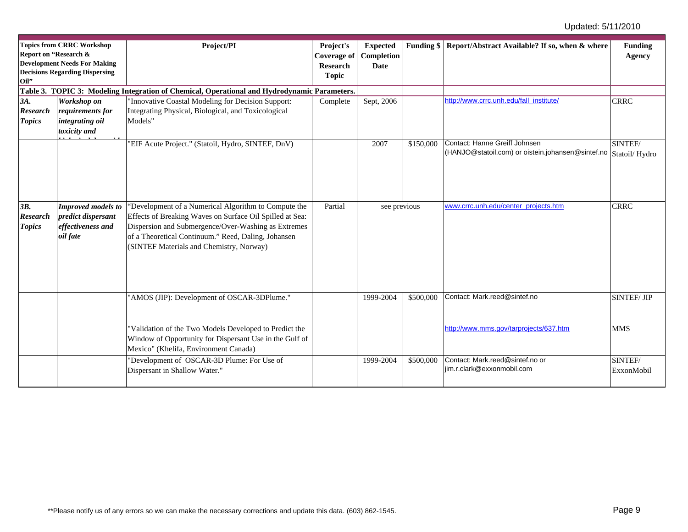| <b>Topics from CRRC Workshop</b><br>Report on "Research &<br><b>Development Needs For Making</b><br><b>Decisions Regarding Dispersing</b><br>Oil" |                                                                                         | Project/PI                                                                                                                                                                                                                                                                 | Project's<br><b>Coverage of</b><br><b>Research</b><br><b>Topic</b> | <b>Expected</b><br>Completion<br><b>Date</b> |           | Funding \$   Report/Abstract Available? If so, when & where                        | <b>Funding</b><br><b>Agency</b> |
|---------------------------------------------------------------------------------------------------------------------------------------------------|-----------------------------------------------------------------------------------------|----------------------------------------------------------------------------------------------------------------------------------------------------------------------------------------------------------------------------------------------------------------------------|--------------------------------------------------------------------|----------------------------------------------|-----------|------------------------------------------------------------------------------------|---------------------------------|
|                                                                                                                                                   |                                                                                         | Table 3. TOPIC 3: Modeling Integration of Chemical, Operational and Hydrodynamic Parameters.                                                                                                                                                                               |                                                                    |                                              |           |                                                                                    |                                 |
| 3A.<br><b>Research</b><br><b>Topics</b>                                                                                                           | Workshop on<br>requirements for<br>integrating oil<br>toxicity and                      | 'Innovative Coastal Modeling for Decision Support:<br>Integrating Physical, Biological, and Toxicological<br>Models"                                                                                                                                                       | Complete                                                           | Sept, 2006                                   |           | http://www.crrc.unh.edu/fall_institute/                                            | <b>CRRC</b>                     |
|                                                                                                                                                   |                                                                                         | "EIF Acute Project." (Statoil, Hydro, SINTEF, DnV)                                                                                                                                                                                                                         |                                                                    | 2007                                         | \$150,000 | Contact: Hanne Greiff Johnsen<br>(HANJO@statoil.com) or oistein.johansen@sintef.no | SINTEF/<br>Statoil/Hydro        |
| 3B.<br><b>Research</b><br><b>Topics</b>                                                                                                           | <b>Improved models to</b><br>predict dispersant<br>effectiveness and<br><i>oil fate</i> | "Development of a Numerical Algorithm to Compute the<br>Effects of Breaking Waves on Surface Oil Spilled at Sea:<br>Dispersion and Submergence/Over-Washing as Extremes<br>of a Theoretical Continuum." Reed, Daling, Johansen<br>(SINTEF Materials and Chemistry, Norway) | Partial                                                            | see previous                                 |           | www.crrc.unh.edu/center_projects.htm                                               | <b>CRRC</b>                     |
|                                                                                                                                                   |                                                                                         | "AMOS (JIP): Development of OSCAR-3DPlume."                                                                                                                                                                                                                                |                                                                    | 1999-2004                                    | \$500,000 | Contact: Mark.reed@sintef.no                                                       | <b>SINTEF/JIP</b>               |
|                                                                                                                                                   |                                                                                         | 'Validation of the Two Models Developed to Predict the<br>Window of Opportunity for Dispersant Use in the Gulf of<br>Mexico" (Khelifa, Environment Canada)                                                                                                                 |                                                                    |                                              |           | http://www.mms.gov/tarprojects/637.htm                                             | <b>MMS</b>                      |
|                                                                                                                                                   |                                                                                         | "Development of OSCAR-3D Plume: For Use of<br>Dispersant in Shallow Water."                                                                                                                                                                                                |                                                                    | 1999-2004                                    | \$500,000 | Contact: Mark.reed@sintef.no or<br>jim.r.clark@exxonmobil.com                      | SINTEF/<br>ExxonMobil           |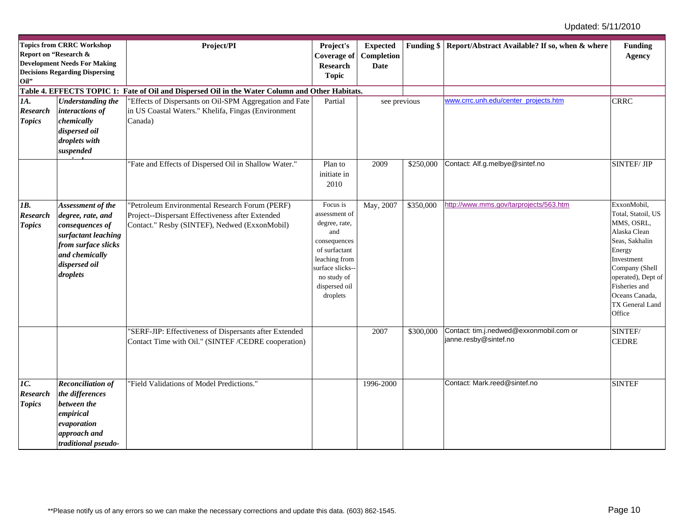| Oil"                                           | <b>Topics from CRRC Workshop</b><br>Report on "Research &<br><b>Development Needs For Making</b><br><b>Decisions Regarding Dispersing</b>              | Project/PI                                                                                                                                                                                                                   | Project's<br><b>Coverage of</b><br>Research<br><b>Topic</b>                                                                                                        | <b>Expected</b><br>Completion<br>Date |           | Funding \$   Report/Abstract Available? If so, when & where      | <b>Funding</b><br><b>Agency</b>                                                                                                                                                                                   |
|------------------------------------------------|--------------------------------------------------------------------------------------------------------------------------------------------------------|------------------------------------------------------------------------------------------------------------------------------------------------------------------------------------------------------------------------------|--------------------------------------------------------------------------------------------------------------------------------------------------------------------|---------------------------------------|-----------|------------------------------------------------------------------|-------------------------------------------------------------------------------------------------------------------------------------------------------------------------------------------------------------------|
| 1A.<br><b>Research</b><br><b>Topics</b>        | <b>Understanding the</b><br>interactions of<br>chemically<br>dispersed oil<br>droplets with<br>suspended                                               | Table 4. EFFECTS TOPIC 1: Fate of Oil and Dispersed Oil in the Water Column and Other Habitats.<br>"Effects of Dispersants on Oil-SPM Aggregation and Fate<br>in US Coastal Waters." Khelifa, Fingas (Environment<br>Canada) | Partial                                                                                                                                                            | see previous                          |           | www.crrc.unh.edu/center_projects.htm                             | <b>CRRC</b>                                                                                                                                                                                                       |
|                                                |                                                                                                                                                        | "Fate and Effects of Dispersed Oil in Shallow Water."                                                                                                                                                                        | Plan to<br>initiate in<br>2010                                                                                                                                     | 2009                                  | \$250,000 | Contact: Alf.g.melbye@sintef.no                                  | <b>SINTEF/JIP</b>                                                                                                                                                                                                 |
| <b>1B.</b><br><b>Research</b><br><b>Topics</b> | Assessment of the<br>degree, rate, and<br>consequences of<br>surfactant leaching<br>from surface slicks<br>and chemically<br>dispersed oil<br>droplets | "Petroleum Environmental Research Forum (PERF)<br>Project--Dispersant Effectiveness after Extended<br>Contact." Resby (SINTEF), Nedwed (ExxonMobil)                                                                          | Focus is<br>assessment of<br>degree, rate,<br>and<br>consequences<br>of surfactant<br>leaching from<br>urface slicks--<br>no study of<br>dispersed oil<br>droplets | May, 2007                             | \$350,000 | http://www.mms.gov/tarprojects/563.htm                           | ExxonMobil,<br>Total, Statoil, US<br>MMS, OSRL,<br>Alaska Clean<br>Seas, Sakhalin<br>Energy<br>Investment<br>Company (Shell<br>operated), Dept of<br>Fisheries and<br>Oceans Canada,<br>TX General Land<br>Office |
|                                                |                                                                                                                                                        | "SERF-JIP: Effectiveness of Dispersants after Extended<br>Contact Time with Oil." (SINTEF/CEDRE cooperation)                                                                                                                 |                                                                                                                                                                    | 2007                                  | \$300,000 | Contact: tim.j.nedwed@exxonmobil.com or<br>janne.resby@sintef.no | SINTEF/<br><b>CEDRE</b>                                                                                                                                                                                           |
| 1C.<br><b>Research</b><br><b>Topics</b>        | <b>Reconciliation of</b><br>the differences<br>between the<br>empirical<br>evaporation<br>approach and<br>traditional pseudo-                          | "Field Validations of Model Predictions."                                                                                                                                                                                    |                                                                                                                                                                    | 1996-2000                             |           | Contact: Mark.reed@sintef.no                                     | <b>SINTEF</b>                                                                                                                                                                                                     |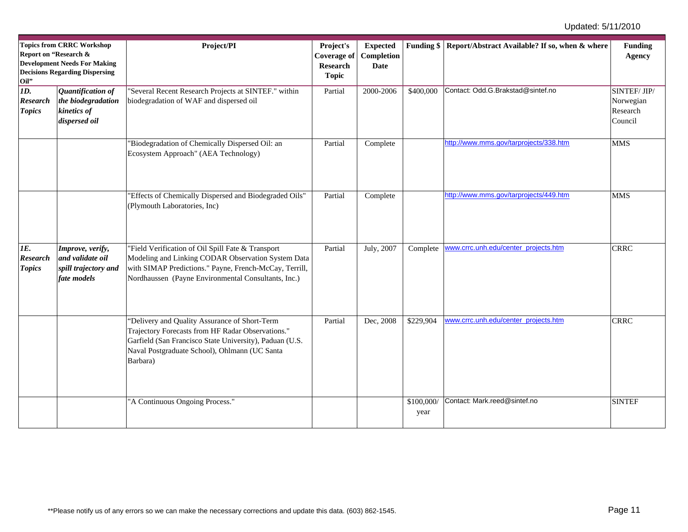| <b>Topics from CRRC Workshop</b><br>Report on "Research &<br><b>Development Needs For Making</b><br><b>Decisions Regarding Dispersing</b><br>Oil" |                                                                             | Project/PI                                                                                                                                                                                                                 | Project's<br><b>Coverage of</b><br><b>Research</b><br><b>Topic</b> | <b>Expected</b><br>Completion<br><b>Date</b> |                    | Funding \$   Report/Abstract Available? If so, when & where | <b>Funding</b><br>Agency                        |
|---------------------------------------------------------------------------------------------------------------------------------------------------|-----------------------------------------------------------------------------|----------------------------------------------------------------------------------------------------------------------------------------------------------------------------------------------------------------------------|--------------------------------------------------------------------|----------------------------------------------|--------------------|-------------------------------------------------------------|-------------------------------------------------|
| ID.<br><b>Research</b><br><b>Topics</b>                                                                                                           | Quantification of<br>the biodegradation<br>kinetics of<br>dispersed oil     | "Several Recent Research Projects at SINTEF." within<br>biodegradation of WAF and dispersed oil                                                                                                                            | Partial                                                            | 2000-2006                                    | \$400,000          | Contact: Odd.G.Brakstad@sintef.no                           | SINTEF/JIP/<br>Norwegian<br>Research<br>Council |
|                                                                                                                                                   |                                                                             | 'Biodegradation of Chemically Dispersed Oil: an<br>Ecosystem Approach" (AEA Technology)                                                                                                                                    | Partial                                                            | Complete                                     |                    | http://www.mms.gov/tarprojects/338.htm                      | <b>MMS</b>                                      |
|                                                                                                                                                   |                                                                             | "Effects of Chemically Dispersed and Biodegraded Oils"<br>(Plymouth Laboratories, Inc)                                                                                                                                     | Partial                                                            | Complete                                     |                    | http://www.mms.gov/tarprojects/449.htm                      | <b>MMS</b>                                      |
| <b>IE.</b><br><b>Research</b><br><b>Topics</b>                                                                                                    | Improve, verify,<br>and validate oil<br>spill trajectory and<br>fate models | "Field Verification of Oil Spill Fate & Transport<br>Modeling and Linking CODAR Observation System Data<br>with SIMAP Predictions." Payne, French-McCay, Terrill,<br>Nordhaussen (Payne Environmental Consultants, Inc.)   | Partial                                                            | July, 2007                                   | Complete           | www.crrc.unh.edu/center_projects.htm                        | <b>CRRC</b>                                     |
|                                                                                                                                                   |                                                                             | "Delivery and Quality Assurance of Short-Term<br>Trajectory Forecasts from HF Radar Observations."<br>Garfield (San Francisco State University), Paduan (U.S.<br>Naval Postgraduate School), Ohlmann (UC Santa<br>Barbara) | Partial                                                            | Dec, 2008                                    | \$229,904          | www.crrc.unh.edu/center_projects.htm                        | <b>CRRC</b>                                     |
|                                                                                                                                                   |                                                                             | "A Continuous Ongoing Process."                                                                                                                                                                                            |                                                                    |                                              | \$100,000/<br>year | Contact: Mark.reed@sintef.no                                | <b>SINTEF</b>                                   |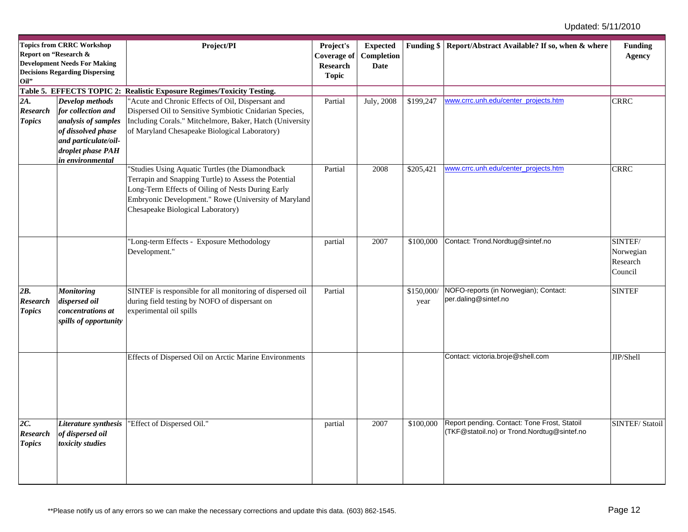| Report on "Research &<br>Oil"              | <b>Topics from CRRC Workshop</b><br><b>Development Needs For Making</b><br><b>Decisions Regarding Dispersing</b>                                    | Project/PI                                                                                                                                                                                                                                                 | Project's<br><b>Coverage of</b><br><b>Research</b><br><b>Topic</b> | <b>Expected</b><br>Completion<br>Date |                    | Funding \$   Report/Abstract Available? If so, when & where                                 | <b>Funding</b><br><b>Agency</b>             |
|--------------------------------------------|-----------------------------------------------------------------------------------------------------------------------------------------------------|------------------------------------------------------------------------------------------------------------------------------------------------------------------------------------------------------------------------------------------------------------|--------------------------------------------------------------------|---------------------------------------|--------------------|---------------------------------------------------------------------------------------------|---------------------------------------------|
|                                            |                                                                                                                                                     | Table 5. EFFECTS TOPIC 2: Realistic Exposure Regimes/Toxicity Testing.                                                                                                                                                                                     |                                                                    |                                       |                    |                                                                                             |                                             |
| 2A.<br><b>Research</b><br><b>Topics</b>    | Develop methods<br>for collection and<br>analysis of samples<br>of dissolved phase<br>and particulate/oil-<br>droplet phase PAH<br>in environmental | "Acute and Chronic Effects of Oil, Dispersant and<br>Dispersed Oil to Sensitive Symbiotic Cnidarian Species,<br>Including Corals." Mitchelmore, Baker, Hatch (University<br>of Maryland Chesapeake Biological Laboratory)                                  | Partial                                                            | July, 2008                            | \$199,247          | www.crrc.unh.edu/center_projects.htm                                                        | <b>CRRC</b>                                 |
|                                            |                                                                                                                                                     | "Studies Using Aquatic Turtles (the Diamondback<br>Terrapin and Snapping Turtle) to Assess the Potential<br>Long-Term Effects of Oiling of Nests During Early<br>Embryonic Development." Rowe (University of Maryland<br>Chesapeake Biological Laboratory) | Partial                                                            | 2008                                  | \$205,421          | www.crrc.unh.edu/center_projects.htm                                                        | <b>CRRC</b>                                 |
|                                            |                                                                                                                                                     | "Long-term Effects - Exposure Methodology<br>Development."                                                                                                                                                                                                 | partial                                                            | 2007                                  | \$100,000          | Contact: Trond.Nordtug@sintef.no                                                            | SINTEF/<br>Norwegian<br>Research<br>Council |
| 2B.<br><b>Research</b><br><b>Topics</b>    | <b>Monitoring</b><br>dispersed oil<br>concentrations at<br>spills of opportunity                                                                    | SINTEF is responsible for all monitoring of dispersed oil<br>during field testing by NOFO of dispersant on<br>experimental oil spills                                                                                                                      | Partial                                                            |                                       | \$150,000/<br>year | NOFO-reports (in Norwegian); Contact:<br>per.daling@sintef.no                               | <b>SINTEF</b>                               |
|                                            |                                                                                                                                                     | Effects of Dispersed Oil on Arctic Marine Environments                                                                                                                                                                                                     |                                                                    |                                       |                    | Contact: victoria.broje@shell.com                                                           | JIP/Shell                                   |
| $2C$ .<br><b>Research</b><br><b>Topics</b> | Literature synthesis<br>of dispersed oil<br>toxicity studies                                                                                        | "Effect of Dispersed Oil."                                                                                                                                                                                                                                 | partial                                                            | 2007                                  | \$100,000          | Report pending. Contact: Tone Frost, Statoil<br>(TKF@statoil.no) or Trond.Nordtug@sintef.no | <b>SINTEF/Statoil</b>                       |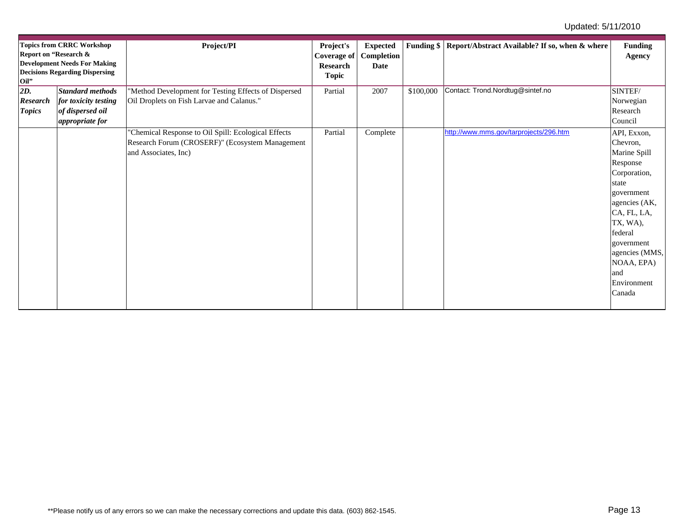| <b>Topics from CRRC Workshop</b><br>Report on "Research &<br><b>Development Needs For Making</b><br><b>Decisions Regarding Dispersing</b><br>Oil" |                                                                                               | Project/PI                                                                                                                     | Project's<br><b>Coverage of</b><br><b>Research</b><br><b>Topic</b> | <b>Expected</b><br>Completion<br>Date |           | Funding \$   Report/Abstract Available? If so, when & where | Funding<br><b>Agency</b>                                                                                                                                                                                                        |
|---------------------------------------------------------------------------------------------------------------------------------------------------|-----------------------------------------------------------------------------------------------|--------------------------------------------------------------------------------------------------------------------------------|--------------------------------------------------------------------|---------------------------------------|-----------|-------------------------------------------------------------|---------------------------------------------------------------------------------------------------------------------------------------------------------------------------------------------------------------------------------|
| 2D.<br><b>Research</b><br><b>Topics</b>                                                                                                           | <b>Standard methods</b><br>for toxicity testing<br>of dispersed oil<br><i>appropriate for</i> | "Method Development for Testing Effects of Dispersed<br>Oil Droplets on Fish Larvae and Calanus."                              | Partial                                                            | 2007                                  | \$100,000 | Contact: Trond.Nordtug@sintef.no                            | SINTEF/<br>Norwegian<br>Research<br>Council                                                                                                                                                                                     |
|                                                                                                                                                   |                                                                                               | "Chemical Response to Oil Spill: Ecological Effects<br>Research Forum (CROSERF)" (Ecosystem Management<br>and Associates, Inc) | Partial                                                            | Complete                              |           | http://www.mms.gov/tarprojects/296.htm                      | API, Exxon,<br>Chevron,<br>Marine Spill<br>Response<br>Corporation,<br>state<br>government<br>agencies (AK,<br>CA, FL, LA,<br>TX, WA),<br>federal<br>government<br>agencies (MMS,<br>NOAA, EPA)<br>and<br>Environment<br>Canada |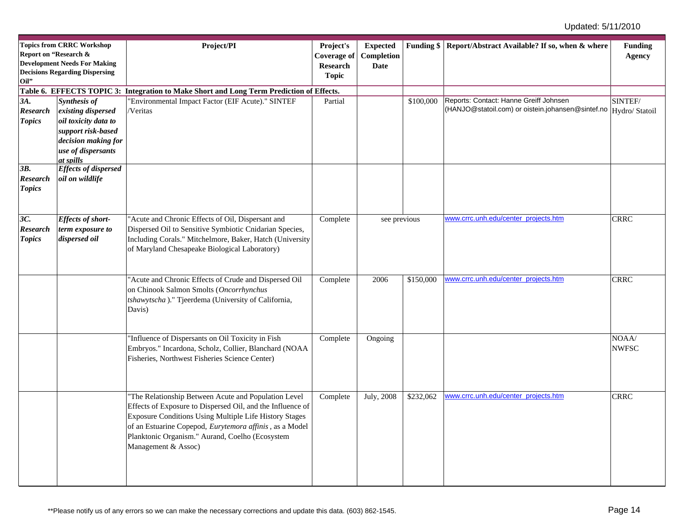| Oil"                                    | <b>Topics from CRRC Workshop</b><br>Report on "Research &<br><b>Development Needs For Making</b><br><b>Decisions Regarding Dispersing</b>  | Project/PI                                                                                                                                                                                                                                                                                                        | Project's<br><b>Coverage of</b><br><b>Research</b><br><b>Topic</b> | <b>Expected</b><br>Completion<br><b>Date</b> |           | Funding \$ Report/Abstract Available? If so, when & where                                                   | <b>Funding</b><br><b>Agency</b> |
|-----------------------------------------|--------------------------------------------------------------------------------------------------------------------------------------------|-------------------------------------------------------------------------------------------------------------------------------------------------------------------------------------------------------------------------------------------------------------------------------------------------------------------|--------------------------------------------------------------------|----------------------------------------------|-----------|-------------------------------------------------------------------------------------------------------------|---------------------------------|
|                                         |                                                                                                                                            | Table 6. EFFECTS TOPIC 3: Integration to Make Short and Long Term Prediction of Effects.                                                                                                                                                                                                                          |                                                                    |                                              |           |                                                                                                             |                                 |
| 3A.<br><b>Research</b><br><b>Topics</b> | Synthesis of<br>existing dispersed<br>oil toxicity data to<br>support risk-based<br>decision making for<br>use of dispersants<br>at spills | 'Environmental Impact Factor (EIF Acute)." SINTEF<br>Veritas                                                                                                                                                                                                                                                      | Partial                                                            |                                              | \$100,000 | Reports: Contact: Hanne Greiff Johnsen<br>(HANJO@statoil.com) or oistein.johansen@sintef.no  Hydro/ Statoil | SINTEF/                         |
| 3B.<br><b>Research</b><br><b>Topics</b> | <b>Effects of dispersed</b><br>oil on wildlife                                                                                             |                                                                                                                                                                                                                                                                                                                   |                                                                    |                                              |           |                                                                                                             |                                 |
| 3C.<br><b>Research</b><br><b>Topics</b> | <b>Effects of short-</b><br>term exposure to<br>dispersed oil                                                                              | "Acute and Chronic Effects of Oil, Dispersant and<br>Dispersed Oil to Sensitive Symbiotic Cnidarian Species,<br>Including Corals." Mitchelmore, Baker, Hatch (University<br>of Maryland Chesapeake Biological Laboratory)                                                                                         | Complete                                                           | see previous                                 |           | www.crrc.unh.edu/center_projects.htm                                                                        | <b>CRRC</b>                     |
|                                         |                                                                                                                                            | "Acute and Chronic Effects of Crude and Dispersed Oil<br>on Chinook Salmon Smolts (Oncorrhynchus<br>tshawytscha)." Tjeerdema (University of California,<br>Davis)                                                                                                                                                 | Complete                                                           | 2006                                         | \$150,000 | www.crrc.unh.edu/center_projects.htm                                                                        | <b>CRRC</b>                     |
|                                         |                                                                                                                                            | "Influence of Dispersants on Oil Toxicity in Fish<br>Embryos." Incardona, Scholz, Collier, Blanchard (NOAA<br>Fisheries, Northwest Fisheries Science Center)                                                                                                                                                      | Complete                                                           | Ongoing                                      |           |                                                                                                             | NOAA/<br><b>NWFSC</b>           |
|                                         |                                                                                                                                            | "The Relationship Between Acute and Population Level<br>Effects of Exposure to Dispersed Oil, and the Influence of<br>Exposure Conditions Using Multiple Life History Stages<br>of an Estuarine Copepod, Eurytemora affinis, as a Model<br>Planktonic Organism." Aurand, Coelho (Ecosystem<br>Management & Assoc) | Complete                                                           | July, 2008                                   | \$232,062 | www.crrc.unh.edu/center_projects.htm                                                                        | <b>CRRC</b>                     |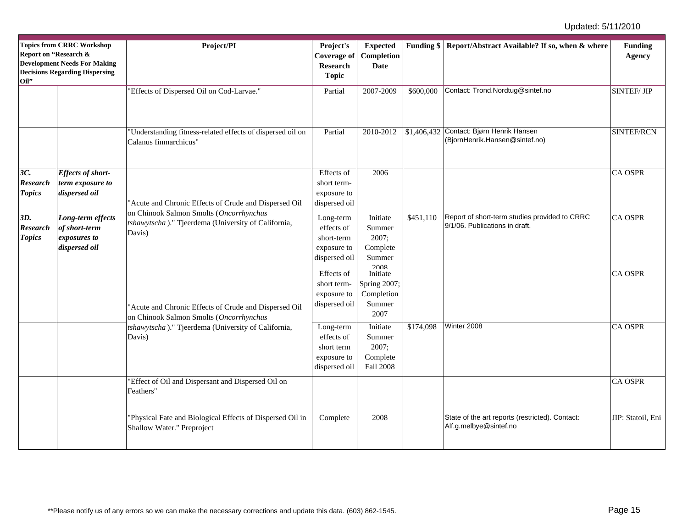| <b>Topics from CRRC Workshop</b><br>Report on "Research &<br><b>Development Needs For Making</b><br><b>Decisions Regarding Dispersing</b><br>Oil" |                                                                     | Project/PI                                                                                                                                                        | Project's<br><b>Coverage of</b><br><b>Research</b><br><b>Topic</b>    | <b>Expected</b><br>Completion<br><b>Date</b>                |           | Funding \$   Report/Abstract Available? If so, when & where                     | <b>Funding</b><br><b>Agency</b> |
|---------------------------------------------------------------------------------------------------------------------------------------------------|---------------------------------------------------------------------|-------------------------------------------------------------------------------------------------------------------------------------------------------------------|-----------------------------------------------------------------------|-------------------------------------------------------------|-----------|---------------------------------------------------------------------------------|---------------------------------|
|                                                                                                                                                   |                                                                     | "Effects of Dispersed Oil on Cod-Larvae."                                                                                                                         | Partial                                                               | 2007-2009                                                   | \$600,000 | Contact: Trond.Nordtug@sintef.no                                                | <b>SINTEF/JIP</b>               |
|                                                                                                                                                   |                                                                     | 'Understanding fitness-related effects of dispersed oil on<br>Calanus finmarchicus"                                                                               | Partial                                                               | 2010-2012                                                   |           | \$1,406,432 Contact: Bjørn Henrik Hansen<br>(BjornHenrik.Hansen@sintef.no)      | SINTEF/RCN                      |
| 3C.<br><b>Research</b><br><b>Topics</b>                                                                                                           | Effects of short-<br>term exposure to<br>dispersed oil              | 'Acute and Chronic Effects of Crude and Dispersed Oil                                                                                                             | Effects of<br>short term-<br>exposure to<br>dispersed oil             | 2006                                                        |           |                                                                                 | CA OSPR                         |
| 3D.<br><b>Research</b><br><b>Topics</b>                                                                                                           | Long-term effects<br>of short-term<br>exposures to<br>dispersed oil | on Chinook Salmon Smolts (Oncorrhynchus<br>tshawytscha)." Tjeerdema (University of California,<br>Davis)                                                          | Long-term<br>effects of<br>short-term<br>exposure to<br>dispersed oil | Initiate<br>Summer<br>2007;<br>Complete<br>Summer<br>2008   | \$451,110 | Report of short-term studies provided to CRRC<br>9/1/06. Publications in draft. | <b>CA OSPR</b>                  |
|                                                                                                                                                   |                                                                     | "Acute and Chronic Effects of Crude and Dispersed Oil<br>on Chinook Salmon Smolts (Oncorrhynchus<br>tshawytscha)." Tjeerdema (University of California,<br>Davis) | Effects of<br>short term-<br>exposure to<br>dispersed oil             | Initiate<br>Spring 2007;<br>Completion<br>Summer<br>2007    |           |                                                                                 | CA OSPR                         |
|                                                                                                                                                   |                                                                     |                                                                                                                                                                   | Long-term<br>effects of<br>short term<br>exposure to<br>dispersed oil | Initiate<br>Summer<br>2007;<br>Complete<br><b>Fall 2008</b> | \$174,098 | Winter 2008                                                                     | CA OSPR                         |
|                                                                                                                                                   |                                                                     | "Effect of Oil and Dispersant and Dispersed Oil on<br>Feathers"                                                                                                   |                                                                       |                                                             |           |                                                                                 | <b>CA OSPR</b>                  |
|                                                                                                                                                   |                                                                     | "Physical Fate and Biological Effects of Dispersed Oil in<br>Shallow Water." Preproject                                                                           | Complete                                                              | 2008                                                        |           | State of the art reports (restricted). Contact:<br>Alf.g.melbye@sintef.no       | JIP: Statoil, Eni               |